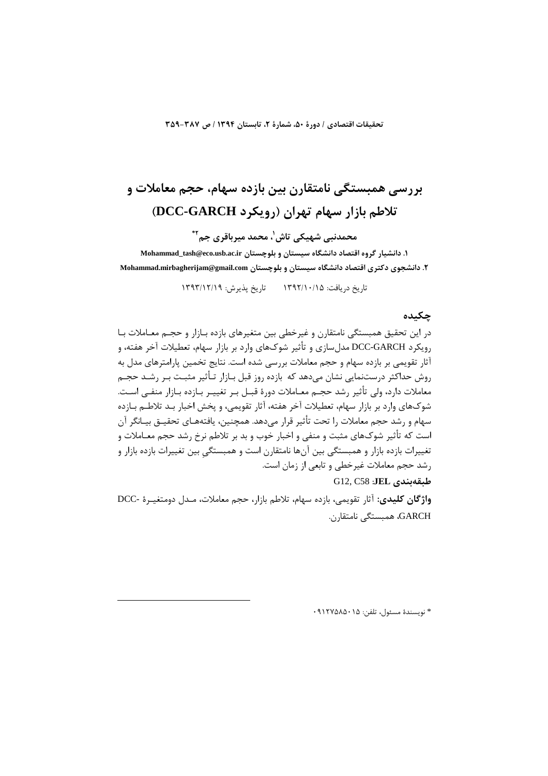تحقيقات اقتصادي / دورة ۵۰، شمارة ٢، تابستان ١٣٩٤ / ص ٣٨٧-٣٥٩

# بررسے همبستگے نامتقارن بین بازدہ سهام، حجم معاملات و تلاطم بازار سهام تهران (رویکرد DCC-GARCH)

محمدنبے, شھیکے, تاش'، محمد میرباقری جم\*\*

۱. دانشیار گروه اقتصاد دانشگاه سیستان و بلوچستان Mohammad\_tash@eco.usb.ac.ir ۲. دانشجوی دکتری اقتصاد دانشگاه سیستان و بلوچستان Mohammad.mirbagherijam@gmail.com

تاریخ در بافت: ۱۳۹۲/۱۰/۱۵ - تاریخ بذیرش: ۱۳۹۳/۱۲/۱۹

# چکىدە

در این تحقیق همبستگی نامتقارن و غیرخطی بین متغیرهای بازده بـازار و حجـم معـاملات بـا رویکرد DCC-GARCH مدل سازی و تأثیر شوکهای وارد بر بازار سهام، تعطیلات آخر هفته، و آثار تقویمی بر بازده سهام و حجم معاملات بررسی شده است. نتایج تخمین پارامترهای مدل به روش حداکثر درستنمایی نشان میدهد که بازده روز قبل بـازار تـأثیر مثبـت بـر رشـد حجـم معاملات دارد، ولي تأثير رشد حجـم معــاملات دورهٔ قبــل بـر تغييــر بــازده بــازار منفــي اســت. شوکهای وارد بر بازار سهام، تعطیلات آخر هفته، آثار تقویمی، و پخش اخبار بـد تلاطـم بـازده سهام و رشد حجم معاملات را تحت تأثیر قرار می۵دهد. همچنین، یافتههـای تحقیــق بیــانگر آن است که تأثیر شوکهای مثبت و منفی و اخبار خوب و بد بر تلاطم نرخ رشد حجم معـاملات و تغییرات بازده بازار و همبستگی بین آنها نامتقارن است و همبستگی بین تغییرات بازده بازار و رشد حجم معاملات غیرخطی و تابعی از زمان است.

طبقەيندى G12, C58 :JEL

واژگان كليدى: آثار تقويمي، بازده سهام، تلاطم بازار، حجم معاملات، مـدل دومتغيـرة -DCC GARCH، همبستگی نامتقا<sub>دن</sub>.

\* نويسندة مسئول، تلفن: ٩١٢٧۵٨۵٠١٥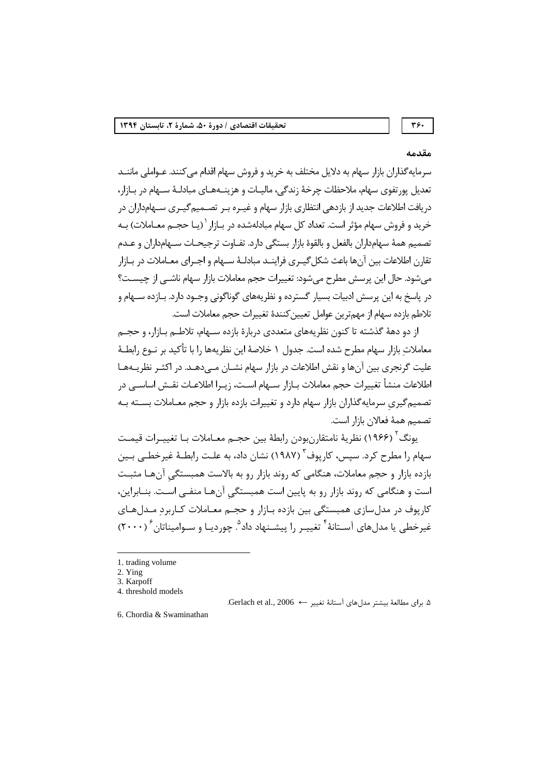# ٣۶.

#### مقدمه

سرمايه گذاران بازار سهام به دلايل مختلف به خريد و فروش سهام اقدام مي كنند. عـواملي ماننــد تعدیل پورتفوی سهام، ملاحظات چرخهٔ زندگی، مالیـات و هزینــههـای مبادلـهٔ ســهام در بـازار، دریافت اطلاعات جدید از بازدهی انتظاری بازار سهام و غیـره بـر تصـمیم گیـری سـهامداران در خرید و فروش سهام مؤثر است. تعداد کل سهام مبادلهشده در بـازار `(یـا حجــم معــاملات) بــه تصميم همهٔ سهامداران بالفعل و بالقوهٔ بازار بستگی دارد. تفـاوت ترجیحـات ســهامداران و عــدم تقان اطلاعات بين آنها باعث شكل گيـري فراينـد مبادلـهٔ ســهام و اجـراي معــاملات در بــازار می شود. حال این پرسش مطرح می شود: تغییرات حجم معاملات بازار سهام ناشــی از چیســت؟ در پاسخ به این پرسش ادبیات بسیار گسترده و نظریههای گوناگونی وجــود دارد. بــازده ســهام و تلاطم بازده سهام از مهمترين عوامل تعيين كنندة تغييرات حجم معاملات است.

از دو دههٔ گذشته تا کنون نظریههای متعددی دربارهٔ بازده سـهام، تلاطـم بـازار، و حجـم معاملات بازار سهام مطرح شده است. جدول ١ خلاصهٔ ابن نظر بهها ١٫ با تأكيد بر نـوع رابطــهٔ علیت گرنجری بین آنها و نقش اطلاعات در بازار سهام نشـان مــی۵هـد. در اکثـر نظریــههـا اطلاعات منشأ تغييرات حجم معاملات بــازار ســهام اســت، زيــرا اطلاعــات نقــش اساســـ ردر تصمیم گیری سرمایه گذاران بازار سهام دارد و تغییرات بازده بازار و حجم معــاملات بســته بــه تصميم همهٔ فعالان بازار است.

يونگ<sup>۲</sup> (۱۹۶۶) نظريهٔ نامتقا<sub>رن</sub>بودن رابطهٔ بين حجـم معـاملات بـا تغييـرات قيمـت سهام را مطرح کرد. سیس، کاریوف<sup>۳</sup> (۱۹۸۷) نشان داد، به علـت رابطـهٔ غیرخطـی بـین بازده بازار و حجم معاملات، هنگامی که روند بازار رو به بالاست همبستگی آنهـا مثبـت است و هنگامی که روند بازار رو به پایین است همبستگی آنهـا منفـی اسـت. بنـابراین، کاریوف در مدل سازی همبستگی بین بازده بـازار و حجـم معـاملات کـاربرد مـدل هـای غیرخطی یا مدل های آســتانهٔ <sup>۴</sup> تغییـر را پیشــنهاد داد<sup>۹</sup>. چوردیـا و ســوامیناتان ۲۰۰۰)

۵. براي مطالعة بيشتر مدل هاي آستانة تغيير ← Gerlach et al., 2006.

<sup>1.</sup> trading volume

 $2.$  Ying

<sup>3.</sup> Karpoff

<sup>4.</sup> threshold models

<sup>6.</sup> Chordia & Swaminathan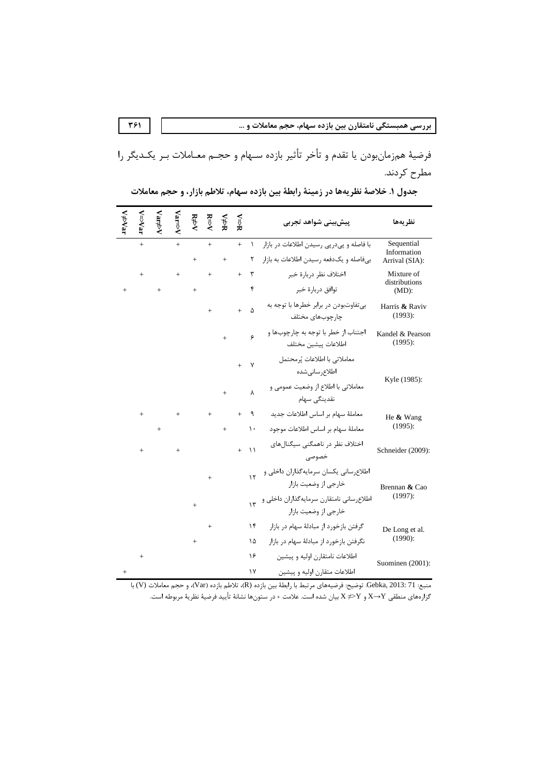فرضيهٔ همزمانبودن يا تقدم و تأخر تأثير بازده سـهام و حجـم معـاملات بـر يكـديگر را مطرح کردند.

|           | neVar      | Var⊅   | Var⇒V | R∌V    | $R \Rightarrow V$ | ¥≯X | ¥≓∧ |               | پیش بینی شواهد تجربی                                                 | نظريهها                     |
|-----------|------------|--------|-------|--------|-------------------|-----|-----|---------------|----------------------------------------------------------------------|-----------------------------|
|           | $\ddot{+}$ |        | $+$   |        | $+$               |     | $+$ | $\lambda$     | با فاصله و پیدرپی رسیدن اطلاعات در بازار                             | Sequential<br>Information   |
|           |            |        |       | $^{+}$ |                   | $+$ |     | ٢             | بیفاصله و یکدفعه رسیدن اطلاعات به بازار                              | Arrival (SIA):              |
|           | $^{+}$     |        | $+$   |        | $^{+}$            |     | $+$ | ٣             | اختلاف نظر دربارة خبر                                                | Mixture of<br>distributions |
| $^{+}$    |            | $^{+}$ |       | $+$    |                   |     |     | ۴             | توافق دربارۂ خبر                                                     | $(MD)$ :                    |
|           |            |        |       |        | $+$               |     | $+$ | Δ             | بي تفاوتبودن در برابر خطرها با توجه به<br>چارچوبهای مختلف            | Harris & Raviv<br>(1993):   |
|           |            |        |       |        |                   | $+$ |     | ۶             | اجتناب از خطر با توجه به چارچوبها و<br>اطلاعات پيشين مختلف           | Kandel & Pearson<br>(1995): |
|           |            |        |       |        |                   |     | $+$ | $\mathsf{v}$  | معاملاتي با اطلاعات يُرمحتمل<br>اطلاع رسانى شده                      | Kyle (1985):                |
|           |            |        |       |        |                   | $+$ |     | $\lambda$     | معاملاتی با اطلاع از وضعیت عمومی و<br>نقدینگی سهام                   |                             |
|           | $+$        |        | $+$   |        | $+$               |     | $+$ | ٩             | معاملة سهام بر اساس اطلاعات جديد                                     | He & Wang                   |
|           |            | $+$    |       |        |                   | $+$ |     | $\mathcal{L}$ | معاملهٔ سهام بر اساس اطلاعات موجود                                   | (1995):                     |
|           | $+$        |        | $+$   |        |                   |     | $+$ | $\mathcal{U}$ | اختلاف نظر در ناهمگنی سیگنالهای<br>خصوصى                             | Schneider (2009):           |
|           |            |        |       |        | $^{+}$            |     |     | $\mathcal{N}$ | اطلاعرساني يكسان سرمايهگذاران داخلي و<br>خارجي از وضعيت بازار        | Brennan & Cao               |
|           |            |        |       |        |                   |     |     |               | اطلاع رسانی نامتقارن سرمایهگذاران داخلی و ۱۳<br>خارجی از وضعیت بازار | $(1997)$ :                  |
|           |            |        |       |        | $+$               |     |     | ۱۴            | گرفتن بازخورد از مبادلهٔ سهام در بازار                               | De Long et al.              |
|           |            |        |       | $+$    |                   |     |     | ١۵            | نگرفتن بازخورد از مبادلهٔ سهام در بازار                              | (1990):                     |
|           | $^{+}$     |        |       |        |                   |     |     | ۱۶            | اطلاعات نامتقارن اوليه و پيشين                                       | Suominen (2001):            |
| $\ddot{}$ |            |        |       |        |                   |     |     | ۱۷            | اطلاعات متقارن اوليه و پيشين                                         |                             |

جدول ١. خلاصة نظريهها در زمينة رابطة بين بازده سهام، تلاطم بازار، و حجم معاملات

منبع: Gebka, 2013: 71. توضيح: فرضيههاي مرتبط با رابطهٔ بين بازده (R)، تلاطم بازده (Var)، و حجم معاملات (V) با گزارههای منطقی X→Y و X ≠>Y بیان شده است. علامت + در ستونها نشانهٔ تأیید فرضیهٔ نظریهٔ مربوطه است.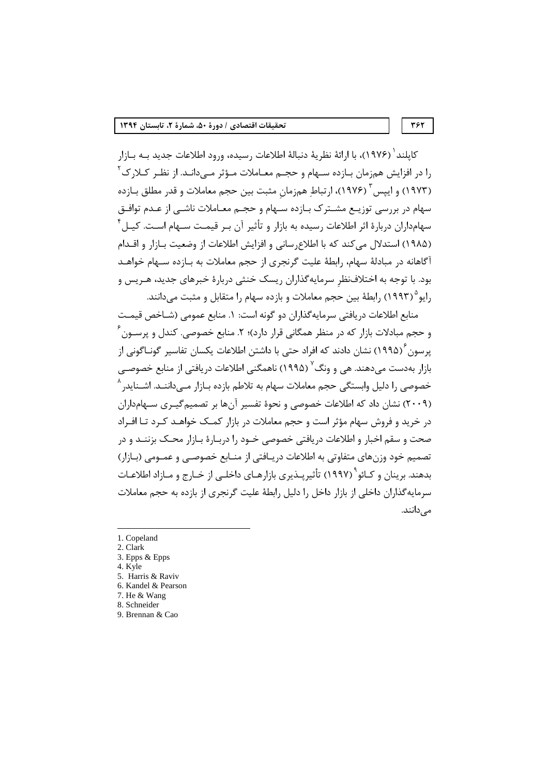كايلند ` (١٩٧۶)، با ارائهٔ نظريهٔ دنبالهٔ اطلاعات رسيده، ورود اطلاعات جديد بــه بــازار را در افزایش همزمان بـازده سـهام و حجـم معـاملات مـؤثر مـىدانـد. از نظـر كـلارك<sup>۲</sup> (۱۹۷۳) و ایپس <sup>۳</sup> (۱۹۷۶)، ارتباط همزمان مثبت بین حجم معاملات و قدر مطلق بـازده سهام در بررسی توزیــع مشــترک بــازده ســهام و حجــم معــاملات ناشــی از عــدم توافــق سهامداران دربارهٔ اثر اطلاعات رسیده به بازار و تأثیر آن بـر قیمـت سـهام اسـت. کیـل ٔ (۱۹۸۵) استدلال می کند که با اطلاع سانی و افزایش اطلاعات از وضعیت بـازار و اقــدام آگاهانه در مبادلهٔ سهام، رابطهٔ علیت گرنجری از حجم معاملات به بـازده سـهام خواهـد بود. با توجه به اختلافنظر سرمایهگذاران ریسک خنثی دربارهٔ خبرهای جدید، هـریس و رايو<sup>۵</sup> (١٩٩٣) رابطهٔ بين حجم معاملات و بازده سهام را متقابل و مثبت مي دانند.

منابع اطلاعات دريافتي سرمايه گذاران دو گونه است: ١. منابع عمومي (شـاخص قيمـت و حجم مبادلات بازار که در منظر همگانی قرار دارد)؛ ۲. منابع خصوصی. کندل و پرســون ٔ یرسون (۱۹۹۵) نشان دادند که افراد حتی با داشتن اطلاعات یکسان تفاسیر گونــاگونی از بازار بهدست مے دهند. هے و ونگ<sup>7</sup> (۱۹۹۵) ناهمگنے اطلاعات در بافتے از منابع خصوصے خصوصی را دلیل وابستگی حجم معاملات سهام به تلاطم بازده بـازار مــ ،داننــد. اشــنايد, ^ (۲۰۰۹) نشان داد که اطلاعات خصوصی و نحوهٔ تفسیر آنها بر تصمیم گیـری سـهامداران در خرید و فروش سهام مؤثر است و حجم معاملات در بازار کمـک خواهـد کـرد تـا افـراد صحت و سقم اخبار و اطلاعات دریافتی خصوصی خــود را دربــارهٔ بــازار محــک بزننــد و در تصمیم خود وزنهای متفاوتی به اطلاعات دریـافتی از منـابع خصوصـی و عمـومی (بـازار) بدهند. برينان و كـائو``(١٩٩٧) تأثيريــذيري بازارهــاي داخلــي از خــارج و مــازاد اطلاعــات سرمایه گذاران داخلی از بازار داخل را دلیل رابطهٔ علیت گرنجری از بازده به حجم معاملات مے دانند.

<sup>1.</sup> Copeland

<sup>2.</sup> Clark

<sup>3.</sup> Epps & Epps

<sup>4.</sup> Kyle

<sup>5.</sup> Harris & Raviv 6. Kandel & Pearson

<sup>7.</sup> He & Wang

<sup>8.</sup> Schneider

<sup>9.</sup> Brennan & Cao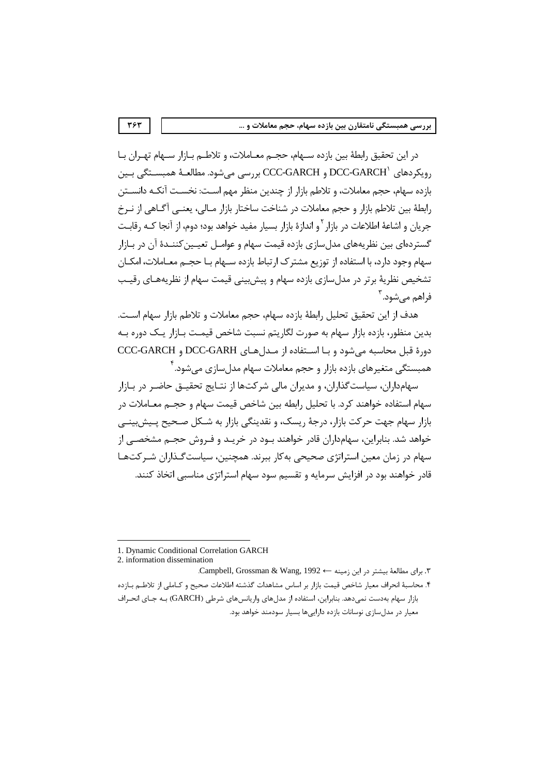در این تحقیق رابطهٔ بین بازده سـهام، حجـم معــاملات، و تلاطــم بــازار ســهام تهــران بــا رويكردهاي DCC-GARCH و CCC-GARCH بررسي مي شود. مطالعـهٔ همبســتگي بــين بازده سهام، حجم معاملات، و تلاطم بازار از چندین منظر مهم اسـت: نخسـت آنکـه دانســتن رابطهٔ بین تلاطم بازار و حجم معاملات در شناخت ساختار بازار مـالی، یعنــی آگـاهی از نــرخ جريان و اشاعهٔ اطلاعات در بازار <sup>۲</sup> و اندازهٔ بازار بسيار مفيد خواهد بود؛ دوم، از آنجا *كـ*ه رقابـت گستردهای بین نظریههای مدل سازی بازده قیمت سهام و عوامــل تعیــین کننــدهٔ آن در بــازار سهام وجود دارد، با استفاده از توزیع مشترک ارتباط بازده سـهام بـا حجـم معـاملات، امکــان تشخیص نظریهٔ برتر در مدلسازی بازده سهام و پیشبینی قیمت سهام از نظریههـای رقیـب فراهم مے شود. ؑ

هدف از این تحقیق تحلیل رابطهٔ بازده سهام، حجم معاملات و تلاطم بازار سهام است. بدین منظور، بازده بازار سهام به صورت لگاریتم نسبت شاخص قیمـت بـازار یـک دوره بـه دورة قبل محاسبه مي شود و بـا اسـتفاده از مـدل هـاي DCC-GARH و CCC-GARCH همىستگے ،متغىرهاى يازده بازار و حجم معاملات سهام مدل سازى مے شود. <sup>۴</sup>

سهامداران، سیاست گذاران، و مدیران مالی شرکتها از نتـایج تحقیــق حاضـر در بــازار سهام استفاده خواهند کرد. با تحلیل رابطه بین شاخص قیمت سهام و حجــم معــاملات در بازار سهام جهت حركت بازار، درجهٔ ریسک، و نقدینگی بازار به شــكل صـحیح پــیش;پینــی خواهد شد. بنابراین، سهامداران قادر خواهند بـود در خریـد و فـروش حجـم مشخصـی از سهام در زمان معین استراتژی صحیحی بهکار ببرند. همچنین، سیاست گـذاران شـر کتهـا قادر خواهند بود در افزایش سرمایه و تقسیم سود سهام استراتژی مناسبی اتخاذ کنند.

<sup>1.</sup> Dynamic Conditional Correlation GARCH

<sup>2.</sup> information dissemination

۳. برای مطالعهٔ بیشتر در این زمینه ← Campbell, Grossman & Wang, 1992. ۴. محاسبهٔ انحراف معیار شاخص قیمت بازار بر اساس مشاهدات گذشته اطلاعات صحیح و کـاملی از تلاطـم بـازده بازار سهام بهدست نمی دهد. بنابراین، استفاده از مدل های واریانس های شرطی (GARCH) به جای انحراف معیار در مدل سازی نوسانات بازده دارایی ها بسیار سودمند خواهد بود.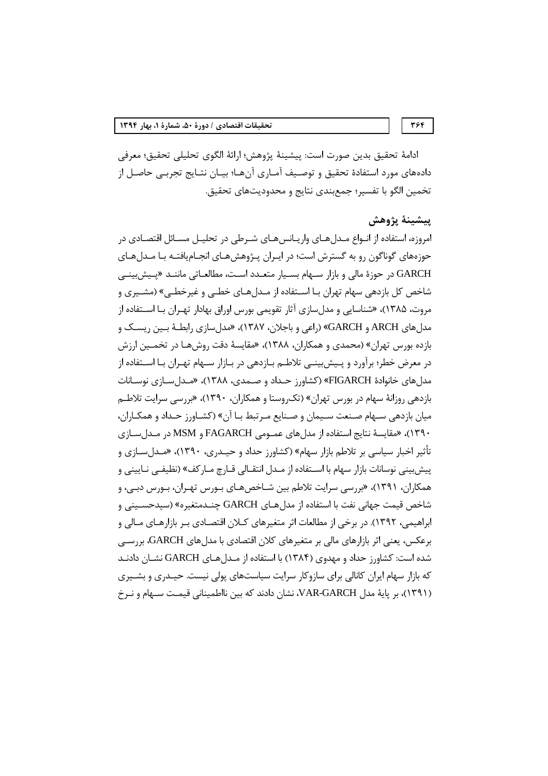394

ادامهٔ تحقیق بدین صورت است: پیشینهٔ پژوهش؛ ارائهٔ الگوی تحلیلی تحقیق؛ معرفی دادههای مورد استفادهٔ تحقیق و توصـیف آمـاری آنهـا؛ بیـان نتـایج تجربـی حاصـل از تخمين الگو با تفسير؛ جمعبندي نتايج و محدوديتهاي تحقيق.

### يىشىنە پژوھش

امروزه، استفاده از انــواع مــدل هــاي واريــانس هــاي شــرطي در تحليــل مســائل اقتصــادي در حوزههای گوناگون رو به گسترش است؛ در ایـران پـژوهشهـای انجـامیافتـه بـا مـدلهـای GARCH در حوزهٔ مالی و بازار سـهام بسـيار متعـدد اسـت، مطالعـاتي ماننـد «پـيش.بينـي شاخص کل بازدهی سهام تهران بـا اســتفاده از مــدلهــای خطــی و غیرخطــی» (مشــیری و مروت، ۱۳۸۵)، «شناسایی و مدلسازی آثار تقویمی بورس اوراق بهادار تهـران بـا اسـتفاده از مدل های ARCH و GARCH» (راعی و باجلان، ۱۳۸۷)، «مدل سازی رابطـهٔ بـین ریسـک و بازده بورس تهران» (محمدی و همکاران، ۱۳۸۸)، «مقایسهٔ دقت روشهـا در تخمـین ارزش در معرض خطر؛ برآورد و پـیش بینــی تلاطــم بــازدهی در بــازار ســهام تهــران بــا اســتفاده از مدل های خانوادهٔ FIGARCH» (کشاورز حـداد و صـمدی، ۱۳۸۸)، «مـدل سـازی نوسـانات بازدهی روزانهٔ سهام در بورس تهران» (تکروستا و همکاران، ۱۳۹۰)، «بررسی سرایت تلاطـم میان بازدهی سـهام صـنعت سـیمان و صـنایع مـرتبط بـا آن» (کشـاورز حـداد و همکـاران، ۱۳۹۰)، «مقايسهٔ نتايج استفاده از مدل هاي عمـومي FAGARCH و MSM در مـدل سـازي تأثیر اخبار سیاسی بر تلاطم بازار سهام» (کشاورز حداد و حیــدری، ۱۳۹۰)، «مــدل ســازی و پیش بینی نوسانات بازار سهام با اسـتفاده از مـدل انتقـالی قـارچ مـار كف» (نظیفـی نـایینی و همکاران، ۱۳۹۱)، «بررسی سرایت تلاطم بین شــاخصهــای بــورس تهــران، بــورس دبــی، و شاخص قيمت جهاني نفت با استفاده از مدلهـاي GARCH چنــدمتغيره» (سيدحســيني و ابراهیمی، ۱۳۹۲). در برخی از مطالعات اثر متغیرهای کـلان اقتصـادی بـر بازارهـای مـالی و برعکس، یعنی اثر بازارهای مالی بر متغیرهای کلان اقتصادی با مدلهای GARCH، بررسی شده است: کشاورز حداد و مهدوی (۱۳۸۴) با استفاده از مـدل هـای GARCH نشـان دادنـد که بازار سهام ایران کانالی برای سازوکار سرایت سیاستهای پولی نیست. حیــدری و بشــیری (۱۳۹۱)، بر پایهٔ مدل VAR-GARCH، نشان دادند که بین نااطمینانی قیمت سـهام و نـرخ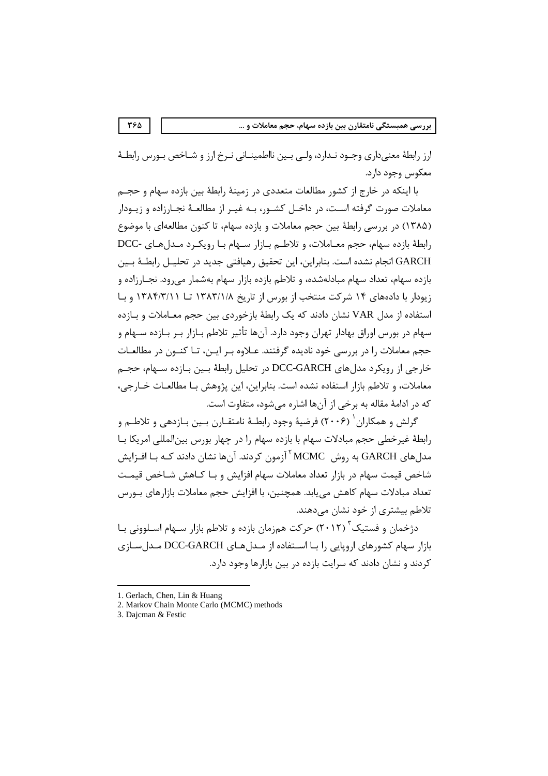ارز رابطهٔ معنیداری وجـود نـدارد، ولـی بـین نااطمینــانی نـرخ ارز و شــاخص بـورس رابطــهٔ معکوس وجود دارد.

با اینکه در خارج از کشور مطالعات متعددی در زمینهٔ رابطهٔ بین بازده سهام و حجـم معاملات صورت گرفته اسـت، در داخـل کشـور، بـه غيـر از مطالعـهٔ نجـارزاده و زيــودار (۱۳۸۵) در بررسی رابطهٔ بین حجم معاملات و بازده سهام، تا کنون مطالعهای با موضوع رابطة بازده سهام، حجم معـاملات، و تلاطـم بـازار سـهام بـا رويكـرد مـدلهـاي -DCC GARCH انجام نشده است. بنابراین، این تحقیق رهیافتی جدید در تحلیـل رابطـهٔ بـین بازده سهام، تعداد سهام مبادلهشده، و تلاطم بازده بازار سهام بهشمار می رود. نجــارزاده و زیودار با دادههای ۱۴ شرکت منتخب از بورس از تاریخ ۱۳۸۳/۱/۸ تــا ۱۳۸۴/۳/۱۱ و بــا استفاده از مدل VAR نشان دادند که یک رابطهٔ بازخوردی بین حجم معــاملات و بــازده سهام در بورس اوراق بهادار تهران وجود دارد. آنها تأثیر تلاطم بـازار بـر بـازده ســهام و حجم معاملات را در بررسی خود نادیده گرفتند. عـلاوه بـر ایـن، تـا کنـون در مطالعـات خارجي از رويكرد مدل هاي DCC-GARCH در تحليل رابطهٔ بـين بـازده ســهام، حجـم معاملات، و تلاطم بازار استفاده نشده است. بنابراين، اين پژوهش بـا مطالعــات خــارجي، که در ادامهٔ مقاله به برخی از آنها اشاره می شود، متفاوت است.

گرلش و همکاران <sup>(</sup> (۲۰۰۶) فرضیهٔ وجود رابطـهٔ نامتقـارن بـین بـازدهی و تلاطـم و رابطهٔ غیرخطی حجم مبادلات سهام با بازده سهام را در چهار بورس بین|لمللی امریکا بـا مدل های GARCH به روش MCMC <sup>۲</sup> آزمون کردند. آنها نشان دادند کـه بـا افـزایش شاخص قیمت سهام در بازار تعداد معاملات سهام افزایش و بـا کـاهش شـاخص قیمـت تعداد مبادلات سهام كاهش مي يابد. همچنين، با افزايش حجم معاملات بازارهاي بــورس تلاطم بیشتری از خود نشان می دهند.

دژخمان و فستیک ۲۰۱۲) حرکت همزمان بازده و تلاطم بازار سـهام اسـلوونی بـا بازار سهام کشورهای اروپایی را بـا اسـتفاده از مـدلهـای DCC-GARCH مـدلسـازی کردند و نشان دادند که سرایت بازده در بین بازارها وجود دارد.

<sup>1.</sup> Gerlach, Chen, Lin & Huang

<sup>2.</sup> Markov Chain Monte Carlo (MCMC) methods

<sup>3.</sup> Dajcman & Festic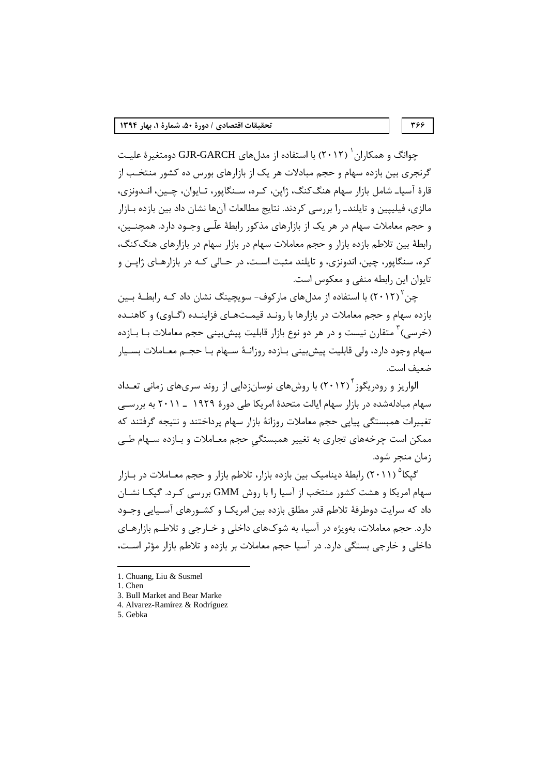جوانگ و همکا,ان ( ۲۰۱۲) با استفاده از مدلهای GJR-GARCH دومتغیرهٔ علیـت گرنجری بین بازده سهام و حجم مبادلات هر یک از بازارهای بورس ده کشور منتخب از قارهٔ آسیا۔ شامل بازار سهام هنگ کنگ، ژاپن، کـره، سـنگاپور، تـاپوان، چـین، انـدونزی، مالزی، فیلییین و تایلند. را بررسی کردند. نتایج مطالعات آنها نشان داد بین بازده بـازار و حجم معاملات سهام در هر یک از بازارهای مذکور رابطهٔ علّـی وجـود دارد. همچنــین، رابطهٔ بین تلاطم بازده بازار و حجم معاملات سهام در بازار سهام در بازارهای هنگ کنگ، کره، سنگاپور، چین، اندونزی، و تایلند مثبت است، در حـالی کـه در بازارهـای ژاپــن و تايوان اين رابطه منفى و معكوس است.

چن<sup>۲</sup> (۲۰۱۲) با استفاده از مدلهای مارکوف- سویچینگ نشان داد کـه رابطـهٔ بـین بازده سهام و حجم معاملات در بازارها با رونـد قیمـتهـای فزاینـده (گـاوی) و کاهنـده (خرسی) ٔ متقارن نیست و در هر دو نوع بازار قابلیت پیش بینی حجم معاملات بـا بـازده سهام وجود دارد، ولي قابليت پيش بيني بـازده روزانـهٔ سـهام بـا حجـم معـاملات بســيار ضعيف است.

الواریز و رودریگوز<sup>۲</sup> (۲۰۱۲) با روشهای نوسانزدایی از روند سریهای زمانی تعـداد سهام مبادلهشده در بازار سهام ایالت متحدهٔ امریکا طی دورهٔ ۱۹۲۹ ــ ۲۰۱۱ به بررســی تغییرات همبستگی پیایی حجم معاملات روزانهٔ بازار سهام پرداختند و نتیجه گرفتند که ممکن است چرخههای تجاری به تغییر همبستگی حجم معـاملات و بـازده سـهام طـی زمان منجر شود.

گیکا<sup>۵</sup> (۲۰۱۱) ,ابطهٔ دینامیک بین بازده بازار، تلاطم بازار و حجم معـاملات در بــازار سهام امریکا و هشت کشور منتخب از آسیا را با روش GMM بررسی کـرد. گیکـا نشـان داد که سرایت دوطرفهٔ تلاطم قدر مطلق بازده بین امریکـا و کشــورهای آســیایی وجــود دا,د. حجم معاملات، بهویژه در آسیا، به شوکهای داخلی و خـارجی و تلاطـم بازارهـای داخلی و خارجی بستگی دارد. در آسیا حجم معاملات بر بازده و تلاطم بازار مؤثر است،

- 4. Alvarez-Ramírez & Rodríguez
- 5. Gebka

<sup>1.</sup> Chuang, Liu & Susmel

<sup>1.</sup> Chen

<sup>3.</sup> Bull Market and Bear Marke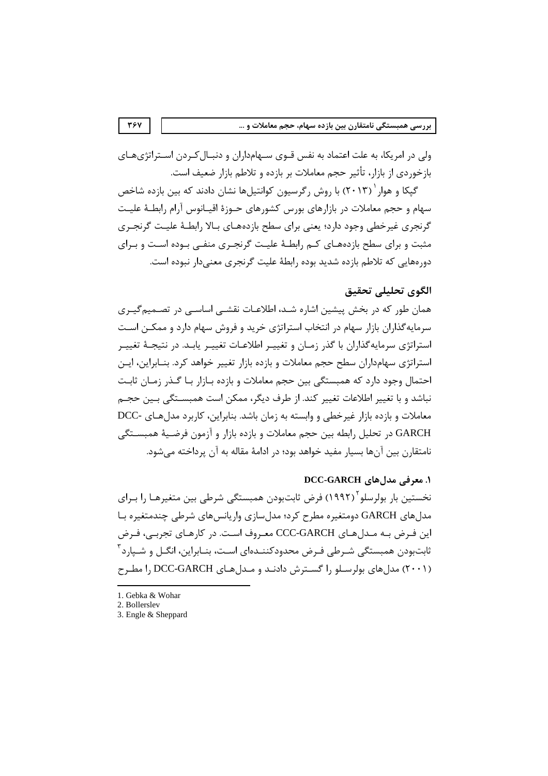ولی در امریکا، به علت اعتماد به نفس قــوی ســهامداران و دنبــال کــردن اســتراتژیهــای بازخوردی از بازار، تأثیر حجم معاملات بر بازده و تلاطم بازار ضعیف است.

گپکا و هوار ۲۰۱۳) با روش رگرسیون کوانتیلها نشان دادند که بین بازده شاخص سهام و حجم معاملات در بازارهای بورس کشورهای جیوزهٔ اقسانوس آرام رابطیهٔ علیت گرنجری غیرخطی وجود دارد؛ یعنی برای سطح بازدههـای بـالا رابطـهٔ علیـت گرنجـری مثبت و برای سطح بازدههـای کــم رابطــهٔ علیــت گرنجـری منفــی بـوده اسـت و بـرای دور مهایی که تلاطم بازده شدید بوده رابطهٔ علیت گرنجری معنیدار نبوده است.

# الگوي تحليلي تحقيق

همان طور که در بخش پیشین اشاره شـد، اطلاعـات نقشــی اساســی در تصــمیم5یــری سرمایه گذاران بازار سهام در انتخاب استراتژی خرید و فروش سهام دارد و ممکـن اسـت استراتژی سرمایهگذاران با گذر زمـان و تغییـر اطلاعـات تغییـر یابـد. در نتیجـهٔ تغییـر استراتژی سهامداران سطح حجم معاملات و بازده بازار تغییر خواهد کرد. بنـابراین، ایـن احتمال وجود دارد که همبستگی بین حجم معاملات و بازده بـازار بـا گـذر زمـان ثابـت نباشد و با تغییر اطلاعات تغییر کند. از طرف دیگر، ممکن است همبســتگے ،بـین حجــم معاملات و بازده بازار غیرخطی و وابسته به زمان باشد. بنابراین، کاربرد مدل هـای -DCC GARCH در تحليل رابطه بين حجم معاملات و بازده بازار و آزمون فرضـيهٔ همبســتگي نامتقارن بين آنها بسيار مفيد خواهد بود؛ در ادامهٔ مقاله به آن پرداخته مي شود.

# 1. معرفی مدل های DCC-GARCH

نخستین بار بولرسلو (۱۹۹۲) فرض ثابتبودن همبستگی شرطی بین متغیرهـا را بـرای مدل های GARCH دومتغیره مطرح کرد؛ مدل سازی واریانس های شرطی چندمتغیره بـا این فرض بـه مـدلهای CCC-GARCH معـروف اسـت. در کارهـای تجربـی، فـرض ثابتبودن همبستگی شـرطی فـرض محدودکننـدهای اسـت، بنـابراین، انگــل و شــپارد آ (۲۰۰۱) مدل های بولرسلو را گسترش دادنـد و مـدل هـای DCC-GARCH را مطـرح

<sup>1.</sup> Gebka & Wohar

<sup>2.</sup> Bollerslev

<sup>3.</sup> Engle & Sheppard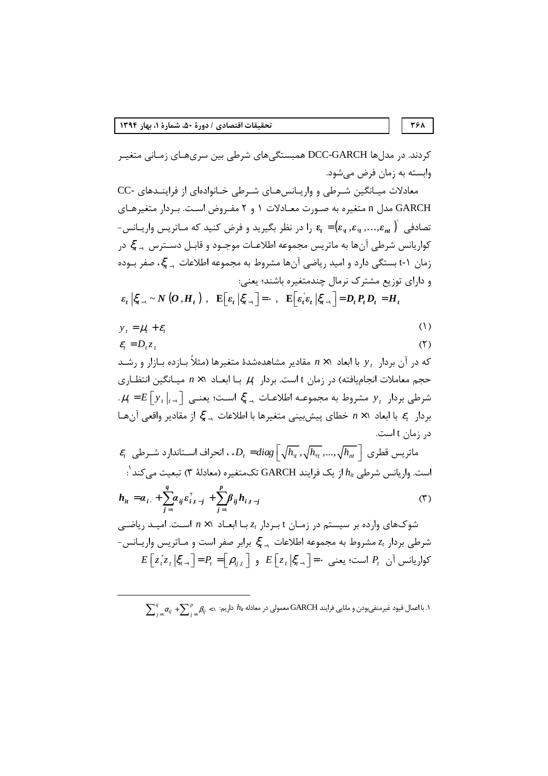$$
\mathbf{Y} \mathbf{Y} \mathbf{A}
$$

کردند. در مدلها DCC-GARCH همبستگیهای شرطی بین سریهـای زمـانی متغیـر وابسته به زمان فرض می شود.

معادلات میانگین شرطی و واریانسهای شرطی خانوادهای از فرایندهای -CC GARCH مدل n متغیره به صورت معادلات ۱ و ۲ مفروض است. بردار متغیرهای - تصادفی  $\epsilon_n$  وا در نظر بگیرید و فرض کنید که مـاتریس واریــانس ( $\epsilon_r = (\epsilon_{\rm v}, \epsilon_{\rm w}, ..., \epsilon_{\rm nr})$ کواریانس شرطی آنها به ماتریس مجموعه اطلاعـات موجـود و قابـل دســترس <sub>بـ</sub>ـ عٌ در زمان ۱-t بستگی دارد و امید ریاضی آنها مشروط به مجموعه اطلاعات <sub>د</sub>یج ، صفر بـوده و دارای توزیع مشترک نرمال چندمتغیره باشند؛ یعنی:

 $\varepsilon_t \left| \xi_{t-1} \sim N\left(O, H_t\right) \right|, \quad \mathbf{E} \left[ \varepsilon_t \left| \xi_{t-1} \right| = \cdot \right], \quad \mathbf{E} \left[ \varepsilon_t \varepsilon_t \left| \xi_{t-1} \right| = D_t P_t D_t = H_t \right]$ 

 $(1)$  $y_t = \mu_t + \varepsilon_t$ 

$$
\varepsilon_t = D_t z_t \tag{7}
$$

که در آن بردار ۷٫ با ابعاد  $n \times 1$  مقادیر مشاهدهشدهٔ متغیرها (مثلاً بـازده بـازار و رشــد حجم معاملات انجامیافته) در زمان t است. بردار  $\mu_t$  بـا ابعــاد ۱× $n$  میــانگین انتظــاری  $\mu_t = E\left[y_t\right]_{t=0}$  شرطی بردار  $y_t$  مشروط به مجموعـه اطلاعـات کی اسـت؛ یعنـی  $E\left[y_t\right]_{t=0}$ . بردار  $\varepsilon_{_l}$  با ابعاد  $n\times n$  خطاي پيش بيني متغيرها با اطلاعات ج $\ddot{\xi}_{_{l-1}}$  از مقادير واقعي آن هـا در زمان t است.

$$
\mathcal{E}_{t}
$$
 ماتریس قطری 
$$
\int_{t} \mathcal{E}_{t}
$$
 ماتریس قطری 
$$
\int_{t} \mathcal{D}_{t} = diag\left[\sqrt{h_{\nu}}, \sqrt{h_{\nu}}, ..., \sqrt{h_{\nu}}\right]
$$
 ماتکمتغیره (معادله ۳) تبعیت می کند':  
است. واریانس شرطی 
$$
h_{ii} = \alpha_{i} + \sum_{j=1}^{q} \alpha_{ij} \varepsilon_{i,j-j}^{r} + \sum_{j=1}^{p} \beta_{ij} h_{i,j-j}
$$
 (۳)

شوکهای وارده بر سیستم در زمـان t بـردار 21 بـا ابعـاد  $x \times n$  اسـت. امیـد ریاضـی شرطی بردار  $z_t$  مشروط به مجموعه اطلاعات کی جرابر صفر است و مـاتریس واریـانس- $E\left[z_{t}^{'}z_{t},\left|\xi_{t-1}\right\rangle\right]=P_{t}=\left[\rho_{ii,t}\right]$  و  $E\left[z_{t},\left|\xi_{t-1}\right\rangle\right]=\cdot$  كواريانس آن  $P_{t}$  است؛ يعني

 $\sum_i^q \alpha_{ij} + \sum_i^p \beta_{ij} < 1$ ، با اعمال قیود غیرمنفیبودن و مانایی فرایند GARCH معمولی در معادله  $h_i$  داریم: ۱۰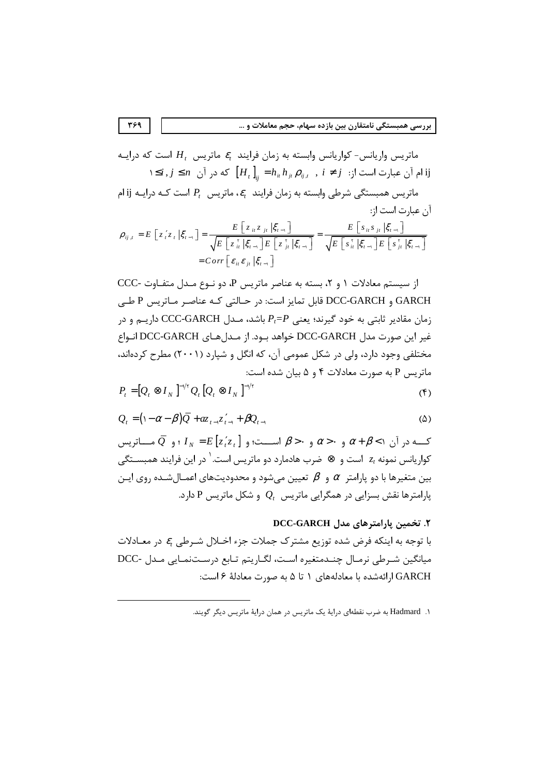ماتریس واریانس- کواریانس وابسته به زمان فرایند  $\varepsilon_i$  ماتریس  $H_t$  است که درایـه  $i,j \leq n$  أن عبارت است از:  $i \neq j$  ,  $h_{ii} h_{ji} \rho_{ij,t}$  ,  $i \neq j$  , i ماتریس همبستگی شرطی وابسته به زمان فرایند  $\epsilon_t$ ، ماتریس  $P_t$  است کـه درایـه ji ام آن عبارت است از:  $\rho_{ij,t} = E \left[ z_i z_t | \xi_{t-i} \right] = \frac{E \left[ z_{it} z_{jt} | \xi_{t-i} \right]}{\sqrt{E \left[ z_{it}^{\tau} | \xi_{t-i} \right] E \left[ z_{jt}^{\tau} | \xi_{t-i} \right]}} = \frac{E \left[ s_{it} s_{jt} | \xi_{t-i} \right]}{\sqrt{E \left[ s_{it}^{\tau} | \xi_{t-i} \right] E \left[ s_{jt}^{\tau} | \xi_{t-i} \right]}}$  $=Corr\left[\varepsilon_{i\epsilon}\varepsilon_{i\epsilon}\right]\xi_{i\epsilon}$ 

از سیستم معادلات ١ و ٢، بسته به عناصر ماتریس P، دو نوع مـدل متفـاوت -CCC GARCH و DCC-GARCH قابل تمايز است: در حـالتي كـه عناصـر مـاتريس P طـي زمان مقادیر ثابتی به خود گیرند؛ یعنی  $P_t = P$  باشد، مـدل CCC-GARCH داریــم و در غير اين صورت مدل DCC-GARCH خواهد بـود. از مـدلهـاي DCC-GARCH انـواع مختلفی وجود دارد، ولی در شکل عمومی آن، که انگل و شپارد (۲۰۰۱) مطرح کردهاند، ماتریس P به صورت معادلات ۴ و ۵ بیان شده است:  $P = [Q \otimes I_{N}]^{-1/\tau} Q [Q \otimes I_{N}]^{-1/\tau}$  $(5)$ 

$$
Q_{t} = (1 - \alpha - \beta)\bar{Q} + az_{t-1}z_{t-1}' + \beta Q_{t-1}
$$
 (2)

کــه در آن  $\alpha \wedge + \beta$  و  $\alpha > \alpha$  و  $\beta > \alpha$  اســت؛ و  $I_N = E[z, z]$  ؛ و  $\overline{Q}$  مــاتریس کواریانس نمونه *21* است و ⊗ ضرب هادمارد دو ماتریس است.<sup>۱</sup> در این فرایند همبســتگی بین متغیرها با دو پارامتر  $\alpha$  و  $\beta$  تعیین می شود و محدودیتهای اعمـال $\alpha$ ــده روی ایـن یارامترها نقش بسزایی در همگرایی ماتریس  $Q_t$  و شکل ماتریس P دارد.

# ٢. تخمين پارامترهاي مدل DCC-GARCH

با توجه به اینکه فرض شده توزیع مشترک جملات جزء اخـلال شـرطی  $\varepsilon$  در معـادلات میانگین شـرطی نرمـال چنــدمتغیره اسـت، لگــاریتم تــابع درســتنمــایی مــدل -DCC GARCH ارائهشده با معادلههای ۱ تا ۵ به صورت معادلهٔ ۶ است:

۱. Hadmard به ضرب نقطهای درایهٔ یک ماتریس در همان درایهٔ ماتریس دیگر گویند.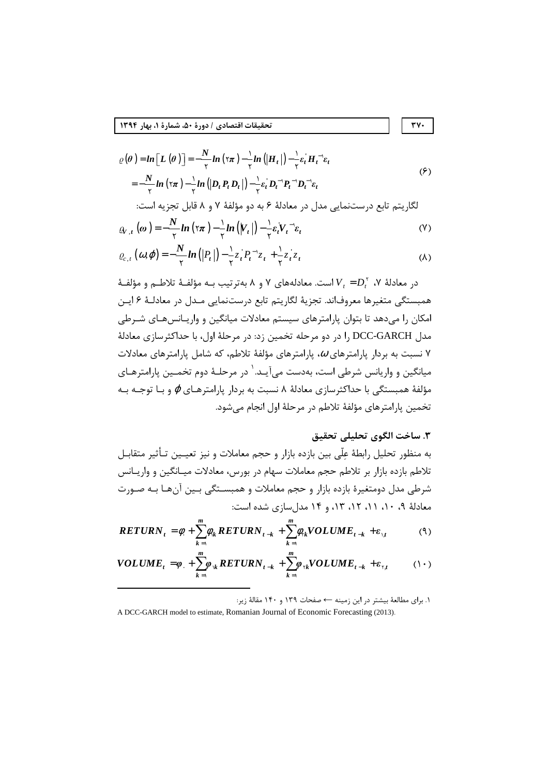$$
\varrho(\theta) = \ln \left[L(\theta)\right] = -\frac{N}{\gamma} \ln (\gamma \pi) - \frac{1}{\gamma} \ln \left(|H_t|\right) - \frac{1}{\gamma} \varepsilon_t^{\prime} H_t^{-1} \varepsilon_t
$$
\n
$$
= -\frac{N}{\gamma} \ln (\gamma \pi) - \frac{1}{\gamma} \ln \left(|D_t P_t D_t|\right) - \frac{1}{\gamma} \varepsilon_t^{\prime} D_t^{-1} P_t^{-1} D_t^{-1} \varepsilon_t
$$
\n
$$
\text{(9)}
$$
\n
$$
\text{Equation (9)}
$$

$$
\varrho_{V,t}\left(\omega\right) = -\frac{N}{\gamma}ln\left(\tau\pi\right) - \frac{1}{\gamma}ln\left(\left|V_t\right|\right) - \frac{1}{\gamma}\varepsilon_t V_t^{-1}\varepsilon_t\tag{V}
$$

$$
\varrho_{c,t}\left(\omega,\varphi\right)=-\frac{N}{\gamma}ln\left(\left|P_t\right|\right)-\frac{1}{\gamma}z_t^{\prime}P_t^{-1}z_t+\frac{1}{\gamma}z_t^{\prime}z_t
$$
 (A)

در معادلهٔ ۷،  $V_{\overline{t}}=D_t^\intercal$  است. معادلههای ۷ و ۸ بهترتیب بـه مؤلفـهٔ تلاطـم و مؤلفـهٔ همبستگی متغیرها معروفاند. تجزیهٔ لگاریتم تابع درستنمایی مـدل در معادلـهٔ ۶ ایـن امکان را میدهد تا بتوان پارامترهای سیستم معادلات میانگین و واریـانس۵هـای شـرطی مدل DCC-GARCH را در دو مرحله تخمین زد: در مرحلهٔ اول، با حداکثرسازی معادلهٔ د نسبت به بردار پارامترهای  $\omega$ ، پارامترهای مؤلفهٔ تلاطم، که شامل پارامترهای معادلات  $\gamma$ میانگین و واریانس شرطی است، بهدست میآیـد.  $\cdot$  در مرحلـهٔ دوم تخمـین پارامترهـای مؤلفهٔ همبستگی با حداکثرسازی معادلهٔ ۸ نسبت به بردار پارامترهـای  $\varphi$  و بـا توجـه بـه تخمین پارامترهای مؤلفهٔ تلاطم در مرحلهٔ اول انجام میشود.

# ٣. ساخت الگوي تحليلي تحقيق

٣٧٠

به منظور تحلیل رابطهٔ عِلّی بین بازده بازار و حجم معاملات و نیز تعیـین تـأثیر متقابـل .<br>تلاطم بازده بازار بر تلاطم حجم معاملات سهام در بورس، معادلات میـانگین و واریـانس شرطی مدل دومتغیرهٔ بازده بازار و حجم معاملات و همبسـتگی بـین آنهـا بـه صـورت معادلهٔ ۹، ۱۰، ۱۱، ۱۲، ۱۳، و ۱۴ مدلسازی شده است:

$$
RETURN_t = \phi_t + \sum_{k=1}^{m} \phi_{k} RETURN_{t-k} + \sum_{k=1}^{m} \phi_{rk} VOLUME_{t-k} + \varepsilon_{\mathcal{A}}
$$
 (9)

$$
VOLUME_t = \varphi_t + \sum_{k=1}^{m} \varphi_{k} RETURN_{t-k} + \sum_{k=1}^{m} \varphi_{k} VOLUME_{t-k} + \varepsilon_{k} \qquad (1 \cdot)
$$

۱. برای مطالعهٔ بیشتر در این زمینه ← صفحات ۱۳۹ و ۱۴۰ مقالهٔ زیر:

A DCC-GARCH model to estimate, Romanian Journal of Economic Forecasting (2013).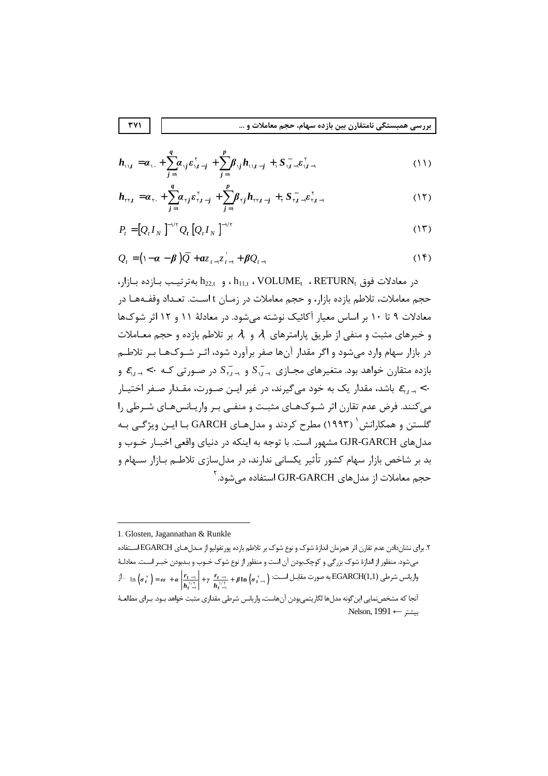بررسی همبستگی نامتقارن بین بازده سهام، حجم معاملات و …

$$
\boldsymbol{h}_{\mathbf{y}_{i}} = \boldsymbol{\alpha}_{i} + \sum_{j=1}^{q} \boldsymbol{\alpha}_{i j} \boldsymbol{\varepsilon}_{i j-j}^{v} + \sum_{j=1}^{p} \boldsymbol{\beta}_{i j} \boldsymbol{h}_{i j j-j} + \sum_{j=1}^{q} \boldsymbol{\varepsilon}_{i j-j}^{v} \boldsymbol{\varepsilon}_{i j-j}^{v}
$$
 (11)

$$
h_{\tau\tau} = \alpha_{\tau} + \sum_{j=1}^{q} \alpha_{\tau j} \varepsilon_{\tau j-j}^{\tau} + \sum_{j=1}^{p} \beta_{\tau j} h_{\tau\tau j-j} + \sum_{\tau} \varepsilon_{\tau j}^{\tau} - \varepsilon_{\tau j-1}^{\tau} \tag{17}
$$

$$
P_t = [Q_t I_N]^{-\vee \tau} Q_t [Q_t I_N]^{-\vee \tau}
$$
 (17)

$$
Q_t = (1 - \alpha - \beta) \overline{Q} + az_{t-1} \overline{z}_{t-1} + \beta Q_{t-1}
$$
 (15)

 $h_{22,t}$  ، h $h_{11,t}$  ، VOLUME<sub>t</sub> ، RETURN<sub>t</sub> ، حدادلات فوق ، RETURN ، در معادلات فوق حجم معاملات، تلاطم بازده بازار، و حجم معاملات در زمـان t اسـت. تعـداد وقفـههـا در معادلات ۹ تا ۱۰ بر اساس معیار آکائیک نوشته می شود. در معادلهٔ ۱۱ و ۱۲ اثر شوکها و خبرهای مثبت و منفی از طریق پارامترهای ۹٫ و ۹٫ بر تلاطم بازده و حجم معـاملات در بازار سهام وارد میشود و اگر مقدار آنها صفر برآورد شود، اثـر شــوکـهـا بــر تلاطــم بازده متقارن خواهد بود. متغیرهای مجـازی  $S_{n,t\to 0}^+$  و  $S_{n,t\to 0}^-$  در صـورتی کـه  $\epsilon_{n,t\to\infty}$  و باشد، مقدار یک به خود میگیرند، در غیر ایـن صـورت، مقـدار صـفر اختیـار  $\varepsilon_{_{\chi,t-1}}$ <۰ می کنند. فرض عدم تقارن اثر شـوکهـای مثبـت و منفـی بـر واریـانسهـای شـرطی را گلستن و همکارانش <sup>(</sup> (۱۹۹۳) مطرح کردند و مدل *ه*ـای GARCH بـا ایـن ویژگــی بـه مدلهای GJR-GARCH مشهور است. با توجه به اینکه در دنیای واقعی اخبـار خــوب و بد بر شاخص بازار سهام کشور تأثیر یکسانی ندارند، در مدل سازی تلاطــم بــازار ســهام و حجم معاملات از مدلهای GJR-GARCH استفاده می شود. آ

۲. برای نشاندادن عدم تقارن اثر همزمان اندازهٔ شوک و نوع شوک بر تلاطم بازده پورتفولیو از مـدلهـای EGARCH اسـتفاده میشود. منظور از اندازهٔ شوک بزرگی و کوچکبودن آن است و منظور از نوع شوک خــوب و بــدبودن خبــر اســت. معادلــهٔ  $\mathcal{F}^{\text{tr}}$  - In  $(\sigma_t^{\text{tr}}) = \omega + \alpha \left| \frac{r_{t-1}}{h_t^{\frac{1}{1-\alpha}}} \right| + \gamma \frac{r_{t-1}}{h_t^{\frac{1}{1-\alpha}}} + \beta \ln \left( \sigma_{t-1}^{\text{tr}} \right)$  - فورت مقابـل اســت آنجا که مشخص:مایی این گونه مدلها لگاریتمیبودن آنهاست، واریانس شرطی مقداری مثبت خواهد بـود. بـرای مطالعـهٔ Nelson, 1991  $\leftarrow$  سشتر

<sup>1.</sup> Glosten, Jagannathan & Runkle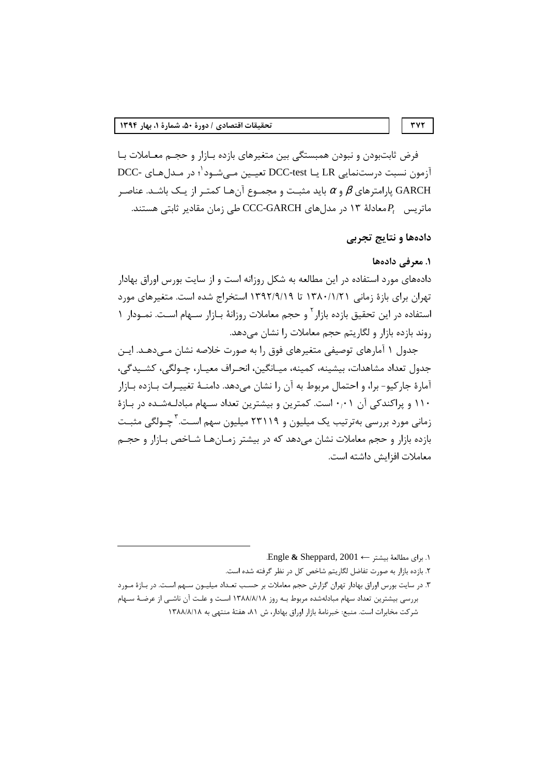فرض ثابتبودن و نبودن همبستگی بین متغیرهای بازده بـازار و حجـم معـاملات بـا آزمون نسبت درستنمایی LR یـا DCC-test تعیـین مـی شـود<sup>\</sup>؛ در مـدل *ه*ـای -DCC یارامترهای  $\beta$  و  $\alpha$  باید مثبـت و مجمـوع آنهـا کمتـر از یـک باشـد. عناصـر gARCH ماتریس  $P_t$ معادلهٔ ۱۳ در مدلهای CCC-GARCH طی زمان مقادیر ثابتی هستند.

# دادهها و نتايج تجربي

### ۱. معرفی دادهها

دادههای مورد استفاده در این مطالعه به شکل روزانه است و از سایت بورس اوراق بهادار تهران برای بازهٔ زمانی ۱۳۸۰/۱/۲۱ تا ۱۳۹۲/۹/۱۹ استخراج شده است. متغیرهای مورد استفاده در این تحقیق بازده بازار ٔ و حجم معاملات روزانهٔ بـازار سـهام اسـت. نمــودار ۱ روند بازده بازار و لگاریتم حجم معاملات را نشان می دهد.

جدول ۱ آمارهای توصیفی متغیرهای فوق را به صورت خلاصه نشان مــی۱۰هـد. ایــن جدول تعداد مشاهدات، بيشينه، كمينه، ميـانگين، انحـراف معيـار، چـولگي، كشـيدگي، آمارهٔ جارکیو- برا، و احتمال مربوط به آن را نشان میدهد. دامنــهٔ تغییــرات بــازده بــازار ۱۱۰ و پراکندکی آن ۰٫۰۱ست. کمترین و بیشترین تعداد سـهام مبادلـهشـده در بـازهٔ زمانی مورد بررسی بهترتیب یک میلیون و ۲۳۱۱۹ میلیون سهم اسـت.<sup>۳</sup>چـولگی مثبـت بازده بازار و حجم معاملات نشان میدهد که در بیشتر زمـانهـا شـاخص بـازار و حجـم معاملات افزايش داشته است.

Engle & Sheppard,  $2001 \leftarrow$  برای مطالعهٔ بیشتر  $\cdot$ 

٢. بازده بازار به صورت تفاضل لگاریتم شاخص کل در نظر گرفته شده است.

۳. در سایت بورس اوراق بهادار تهران گزارش حجم معاملات بر حسب تعـداد میلیـون سـهم اسـت. در بـازهٔ مـورد بررسی بیشترین تعداد سهام مبادلهشده مربوط بـه روز ۱۳۸۸/۸/۱۸ اسـت و علـت آن ناشـی از عرضـهٔ سـهام شركت مخابرات است. منبع: خبرنامهٔ بازار اوراق بهادار، ش ۸۱، هفتهٔ منتهی به ۱۳۸۸/۸/۱۸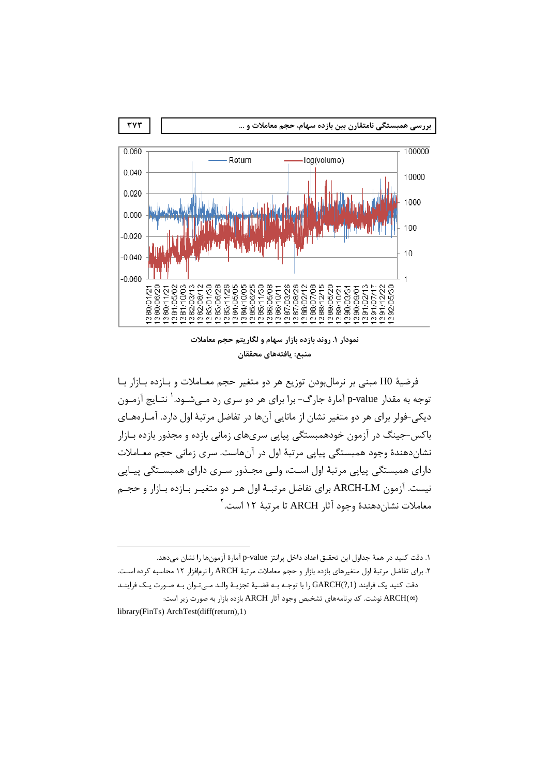

نمودار ۱. روند بازده بازار سهام و لگاریتم حجم معاملات منبع: يافتههاي محققان

فرضيهٔ H0 مبنی بر نرمال بودن توزيع هر دو متغير حجم معــاملات و بــازده بــازار بــا توجه به مقدا, p-value آمارهٔ جارگ- برا برای هر دو سری رد مــ شــود. ٰ نتـایج آزمــون دیکی-فولر برای هر دو متغیر نشان از مانایی آنها در تفاضل مرتبهٔ اول دارد. آمـارههـای باکس-جینگ در آزمون خودهمبستگی پیاپی سریهای زمانی بازده و مجذور بازده بـازار نشاندهندهٔ وجود همبستگی پیاپی مرتبهٔ اول در آنهاست. سری زمانی حجم معـاملات دارای همبستگی پیاپی مرتبهٔ اول است، ولـی مجـذور سـری دارای همبسـتگی پیـاپی نیست. آزمون ARCH-LM برای تفاضل مرتبـهٔ اول هـر دو متغیـر بـازده بـازار و حجـم معاملات نشان دهندهٔ وجود آثار ARCH تا مرتبهٔ ۱۲ است.<sup>۲</sup>

١. دقت كنيد در همهٔ جداول اين تحقيق اعداد داخل پرانتز p-value آمارهٔ آزمونها را نشان مي دهد. ۲. برای تفاضل مرتبهٔ اول متغیرهای بازده بازار و حجم معاملات مرتبهٔ ARCH را نرمافزار ۱۲ محاسبه کرده است. دقت كنيد يك فرايند (GARCH(?,1 با توجـه بـه قضـية تجزيـة والـد مـىتـوان بـه صـورت يـك فراينـد (∞)ARCH نوشت. كد برنامههای تشخیص وجود آثار ARCH بازده بازار به صورت زیر است: library(FinTs) ArchTest(diff(return),1)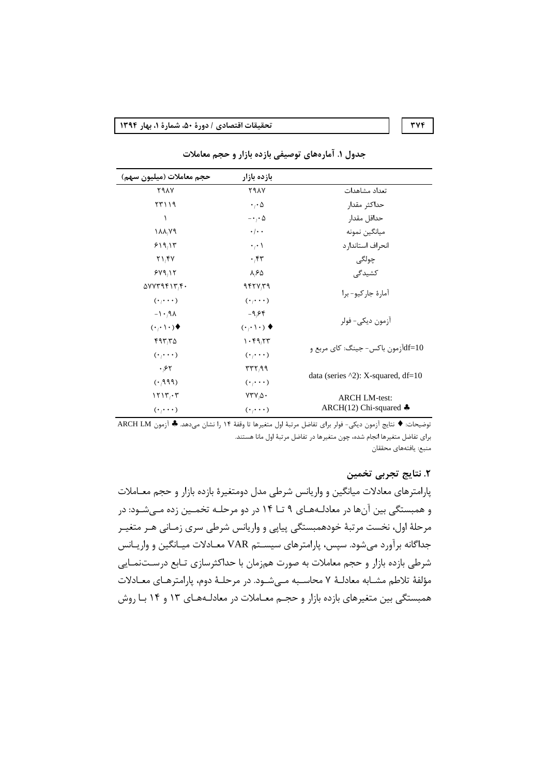#### **TVF**

تحقيقات اقتصادي / دورة ۵۰، شمارة ۱، بهار ۱۳۹۴

| حجم معاملات (ميليون سهم)                                 | بازده بازار                       |                                                |  |
|----------------------------------------------------------|-----------------------------------|------------------------------------------------|--|
| <b>791Y</b>                                              | <b>791Y</b>                       | تعداد مشاهدات                                  |  |
| 57119                                                    | $\cdot \cdot \Delta$              | حداكثر مقدار                                   |  |
| ١                                                        | $-\cdot$ , $\cdot \Delta$         | حداقل مقدار                                    |  |
| $\lambda \lambda \lambda$                                | $\cdot/\cdot$ .                   | ميانگين نمونه                                  |  |
| 519,17                                                   | $\cdot$ <sup>1</sup>              | انحراف استاندار د                              |  |
| $Y \setminus Y$                                          | $\cdot$ ۴۳                        | چولگى                                          |  |
| 549.15                                                   | $\lambda$ $5\Delta$               | کشیدگی                                         |  |
| $\Delta V V \Upsilon 9 \Upsilon 1 \Upsilon_1 \Upsilon_2$ | 9557779                           |                                                |  |
| $(\cdot,\cdot\cdot)$                                     | $(\cdot, \cdot \cdot)$            | آمارۂ جار کیو- برا                             |  |
| $\lambda P, \lambda$                                     | $-9,55$                           |                                                |  |
| $(\cdot,\cdot\,)\cdot)$                                  | $(\cdot,\cdot\,)\cdot)$ $\bullet$ | آزمون دیکے – فولر                              |  |
| 597,70                                                   | 1.59,77                           |                                                |  |
| $(\cdot \cdot \cdot \cdot)$                              | $(\cdot, \cdot \cdot)$            | df=10آزمون باکس- جینگ: کای مربع و              |  |
| .57                                                      | rrr, qq                           |                                                |  |
| (199)                                                    | $(\cdot \cdot \cdot \cdot)$       | data (series $\triangle 2$ ): X-squared, df=10 |  |
| 1515.5                                                   | $VTV/\Delta$ .                    | <b>ARCH LM-test:</b>                           |  |
| $(\cdot,\cdot\cdot)$                                     | $(\cdot \cdot \cdot \cdot)$       | ARCH(12) Chi-squared $\clubsuit$               |  |

جدول ۱. آمارههای توصیفی بازده بازار و حجم معاملات

توضيحات: ♦ نتايج آزمون ديكي- فولر براي تفاضل مرتبة اول متغيرها تا وقفة ١۴ را نشان مي هد. ♦ آزمون ARCH LM برای تفاضل متغیرها انجام شده، چون متغیرها در تفاضل مرتبهٔ اول مانا هستند. منبع: يافتههاي محققان

# ٢. نتايج تجربي تخمين

پارامترهای معادلات میانگین و واریانس شرطی مدل دومتغیرهٔ بازده بازار و حجم معـاملات و همبستگی بین آنها در معادلـههـای ۹ تــا ۱۴ در دو مرحلــه تخمــین زده مــیشــود: در مرحلهٔ اول، نخست مرتبهٔ خودهمبستگی پیاپی و واریانس شرطی سری زمـانی هـر متغیـر جداگانه برآورد میشود. سپس، پارامترهای سیسـتم VAR معـادلات میـانگین و واریـانس شرطی بازده بازار و حجم معاملات به صورت همزمان با حداکثرسازی تـابع درسـتنمـایی مؤلفهٔ تلاطم مشـابه معادلـهٔ ۷ محاسـبه مـی شـود. در مرحلـهٔ دوم، یارامترهـای معـادلات همبستگی بین متغیرهای بازده بازار و حجـم معــاملات در معادلــههــای ۱۳ و ۱۴ بــا روش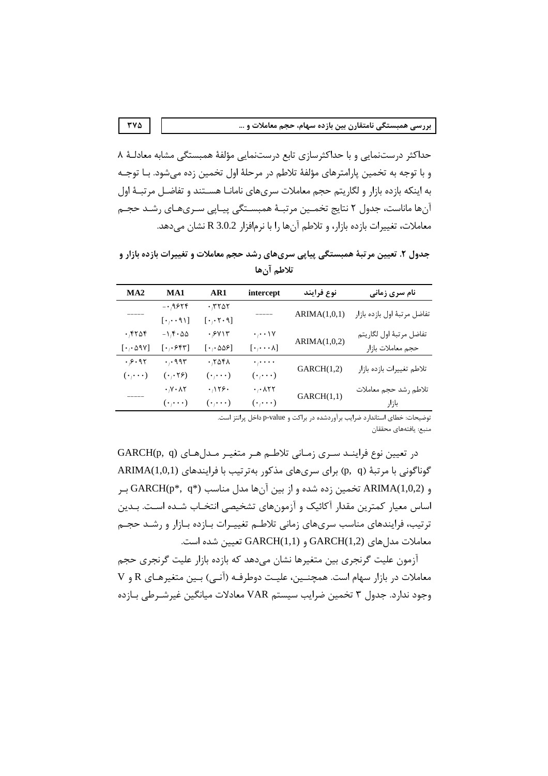حداکثر درستنمایی و با حداکثرسازی تابع درستنمایی مؤلفهٔ همبستگی مشابه معادلـهٔ ۸ و با توجه به تخمین پارامترهای مؤلفهٔ تلاطم در مرحلهٔ اول تخمین زده می،شود. بـا توجـه به اینکه بازده بازار و لگاریتم حجم معاملات سریهای نامانـا هسـتند و تفاضـل مرتبـهٔ اول آنها ماناست، جدول ۲ نتایج تخمـین مرتبـهٔ همبسـتگی پیـایی سـریهـای رشـد حجـم معاملات، تغییرات بازده بازار، و تلاطم آنها را با نرمافزار R 3.0.2 نشان می دهد.

جدول ۲. تعیین مر تبهٔ همبستگی پیاپی سریهای رشد حجم معاملات و تغییرات بازده بازار و تلاطم آنها

| MA2                                    | MA1                                 | AR1                                           | intercept                                    | نوع فرايند   | <b>نام سری زمانی</b>         |
|----------------------------------------|-------------------------------------|-----------------------------------------------|----------------------------------------------|--------------|------------------------------|
|                                        | $- \cdot$ 9.654                     | $\cdot$ , $\tau$ $\circ$ $\circ$              |                                              | ARIMA(1,0,1) | تفاضل مرتبهٔ اول بازده بازار |
|                                        | $[\cdot, \cdot \cdot \cap \cdot]$   | $[\cdot, \cdot \tau \cdot \mathfrak{q}]$      |                                              |              |                              |
| $\cdot$ ۴۲۵۴                           | $-1.5.00$                           | $\cdot$ $/8$ Y $\setminus$ $\uparrow$         | $\cdot$ <sub>/</sub> $\cdot$ \Y              |              | تفاضل مرتبهٔ اول لگاريتم     |
| $[\cdot, \cdot \Delta$ 97              | $[\cdot, \cdot$ ۶۴۳]                | $[\cdot, \cdot \Delta \Delta \epsilon]$       | $[\cdot, \cdots \wedge]$                     | ARIMA(1,0,2) | حجم معاملات بازار            |
| $\cdot$ $,$ $\circ$ $\cdot$ 9. $\circ$ | $\cdot$ , $\cdot$ 995               | .7051                                         | $\cdot$ <sub>1</sub> $\cdot$ $\cdot$ $\cdot$ |              |                              |
| $(\cdot, \cdot \cdot)$                 | $(\cdot, \cdot \nabla)$             | $(\cdot$ <sub>/</sub> $\cdot$ $\cdot$ $\cdot$ | $(\cdot \cdot \cdot \cdot)$                  | GARCH(1,2)   | تلاطم تغييرات بازده بازار    |
|                                        | $\cdot$ $\gamma \cdot \lambda \tau$ | $\cdot$ 156.                                  | $\cdot$ , $\cdot$ $\wedge$ ۲۲                |              | تلاطم رشد حجم معاملات        |
|                                        | $(\cdot,\cdot\cdot)$                | $(\cdot \, , \cdots )$                        | $(\cdot,\cdot\cdot)$                         | GARCH(1,1)   | باز ار                       |
|                                        |                                     |                                               |                                              |              |                              |

توضیحات: خطای استاندارد ضرایب برآوردشده در براکت و p-value داخل پرانتز است.

منبع: يافتههاى محققان

در تعیین نوع فراینـد سـري زمـاني تلاطـم هـر متغيـر مـدلهـاي (GARCH(p, q گوناگونی با مرتبهٔ (p, q) برای سریهای مذکور بهترتیب با فرایندهای ARIMA(1,0,1) و ARIMA(1,0,2) تخمین زده شده و از بین آنها مدل مناسب GARCH(p\*, q\*) ب اساس معیار کمترین مقدار آکائیک و آزمونهای تشخیصی انتخـاب شـده اسـت. بـدین ترتیب، فرایندهای مناسب سریهای زمانی تلاطم تغییـرات بـازده بـازار و رشـد حجـم معاملات مدل های GARCH(1,2) و GARCH(1,1) تعیین شده است.

آزمون علیت گرنجری بین متغیرها نشان می۵هد که بازده بازار علیت گرنجری حجم معاملات در بازار سهام است. همچنـین، علیـت دوطرفـه (آنـی) بـین متغیرهـای R و V وجود ندارد. جدول ۳ تخمین ضرایب سیستم VAR معادلات میانگین غیرشـرطی بـازده

 $\mathbf{r} \mathbf{v} \mathbf{r}$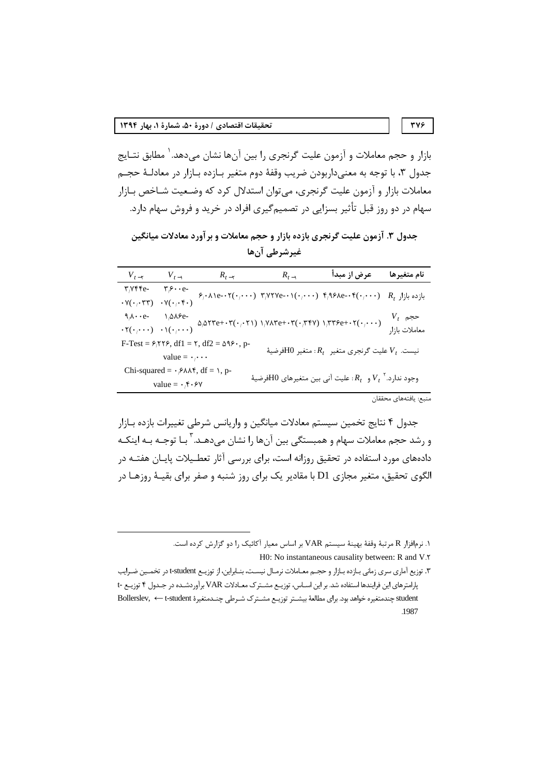بازار و حجم معاملات و آزمون علیت گرنجری را بین آنها نشان میدهد.<sup>۱</sup> مطابق نتـایج جدول ٣، با توجه به معنىداربودن ضريب وقفهٔ دوم متغير بـازده بـازار در معادلـهٔ حجـم معاملات بازار و آزمون علیت گرنجری، میتوان استدلال کرد که وضـعیت شـاخص بـازار سهام در دو روز قبل تأثیر بسزایی در تصمیمگیری افراد در خرید و فروش سهام دارد.

جدول ۳. آزمون علیت گرنجری بازده بازار و حجم معاملات و برآورد معادلات میانگین غيرشرطي آن ها

| $V_{t-\tau}$                                                                                                                                                        | $V_{t-1}$                                                                          | $R_{t-\tau}$ | $R_{t-1}$                                                                                                                                                                                                                                  | عرض از مبدأ                                                                                                                                                                                                    | نام متغيرها           |  |  |
|---------------------------------------------------------------------------------------------------------------------------------------------------------------------|------------------------------------------------------------------------------------|--------------|--------------------------------------------------------------------------------------------------------------------------------------------------------------------------------------------------------------------------------------------|----------------------------------------------------------------------------------------------------------------------------------------------------------------------------------------------------------------|-----------------------|--|--|
| $\mathbf{r}_{1}\mathbf{y}\mathbf{y}$                                                                                                                                |                                                                                    |              |                                                                                                                                                                                                                                            |                                                                                                                                                                                                                |                       |  |  |
| $\cdot$ Y( $\cdot$ , $\cdot$ ۳۳)                                                                                                                                    | $\cdot$ Y( $\cdot$ , $\cdot$ , $\cdot$ )                                           |              |                                                                                                                                                                                                                                            | $\mathcal{F}_i \cdot \lambda \cdot e^{-\lambda \cdot \tau} (\cdot, \cdot \cdot)$ $\mathcal{F}_i \vee \vee \vee e^{-\lambda \cdot \tau} (\cdot, \cdot \cdot)$ $\mathcal{F}_i \vee \vee e^{-\lambda \cdot \tau}$ | $R_t$ بازده بازار     |  |  |
| $9/\lambda \cdot \cdot e$ -                                                                                                                                         | $\lambda/\Delta\lambda$ ۶e-                                                        |              |                                                                                                                                                                                                                                            |                                                                                                                                                                                                                | $V_t$ حجم             |  |  |
|                                                                                                                                                                     | $\cdot \mathbf{Y}(\cdot/\cdot\cdot) \quad \cdot \mathbf{Y}(\cdot/\cdot\cdot\cdot)$ |              | $\Delta/\Delta\Upsilon\Upsilon e+\cdot\Upsilon(\cdot,\cdot\Upsilon\Upsilon)\ \Upsilon/\Upsilon\Lambda\Upsilon e+\cdot\Upsilon(\cdot,\Upsilon\Upsilon\Upsilon)\ \Upsilon/\Upsilon\Upsilon\mathcal{F}e+\cdot\Upsilon(\cdot,\cdot\cdot\cdot)$ | معاملات بازار                                                                                                                                                                                                  |                       |  |  |
| $F-Test = 8/578$ , df1 = $\tau$ , df2 = $\Delta$ 9, p-<br>نيست. $V_t$ عليت گرنجري متغير $R_t$ : متغير $\rm{H}0$ فرضيهٔ                                              |                                                                                    |              |                                                                                                                                                                                                                                            |                                                                                                                                                                                                                |                       |  |  |
|                                                                                                                                                                     | value = $\cdot$ <sub>/</sub> $\cdot$ $\cdot$                                       |              |                                                                                                                                                                                                                                            |                                                                                                                                                                                                                |                       |  |  |
| Chi-squared = $\cdot$ $\beta \lambda \lambda \hat{r}$ , df = $\lambda$ , p-<br>وجود ندارد. ${V_t}^\star$ و $R_t$ : عليت آني بين متغيرهاي $\operatorname{H0}$ فرضيهٔ |                                                                                    |              |                                                                                                                                                                                                                                            |                                                                                                                                                                                                                |                       |  |  |
|                                                                                                                                                                     | value = $\cdot$ $\uparrow$ $\circ$ $\vee$                                          |              |                                                                                                                                                                                                                                            |                                                                                                                                                                                                                |                       |  |  |
|                                                                                                                                                                     |                                                                                    |              |                                                                                                                                                                                                                                            |                                                                                                                                                                                                                | منبع: يافتههاى محققان |  |  |

جدول ۴ نتایج تخمین سیستم معادلات میانگین و واریانس شرطی تغییرات بازده بـازار و رشد حجم معاملات سهام و همبستگی بین آنها را نشان میدهـد. <sup>۳</sup> بـا توجـه بـه اینکـه دادههای مورد استفاده در تحقیق روزانه است، برای بررسی آثار تعطـیلات پایـان هفتــه در الگوی تحقیق، متغیر مجازی D1 با مقادیر یک برای روز شنبه و صفر برای بقیـهٔ روزهـا در

۱. نرمافزار R مرتبهٔ وقفهٔ بهینهٔ سیستم VAR بر اساس معیار آکائیک را دو گزارش کرده است.

H0: No instantaneous causality between: R and V.Y

۳. توزیع آماری سری زمانی بـازده بـازار و حجـم معـاملات نرمـال نیسـت، بنـابراین، از توزیـع t-student در تخمـین ضـرایب پارامترهای این فرایندها استفاده شد. بر این اساس، توزیع مشترک معادلات VAR برآوردشـده در جـدول ۴ توزیـع -t student چندمتغیره خواهد بود. برای مطالعهٔ بیشـتر توزیـع مشـترک شـرطی چنـدمتغیرهٔ Bollerslev, ← t-student 1987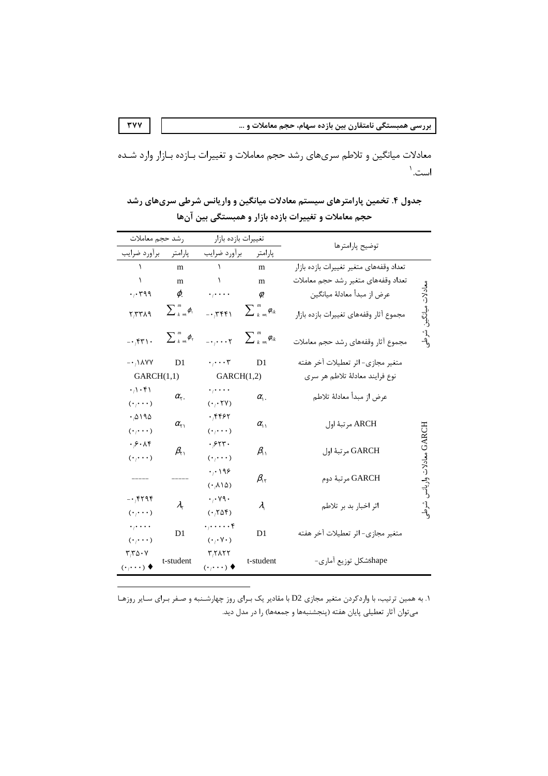معادلات میانگین و تلاطم سریهای رشد حجم معاملات و تغییرات بـازده بـازار وارد شـده است.'

| رشد حجم معاملات                                                                           |                                      | تغييرات بازده بازار                   |                                                            | توضيح پارامترها                         |               |
|-------------------------------------------------------------------------------------------|--------------------------------------|---------------------------------------|------------------------------------------------------------|-----------------------------------------|---------------|
| پارامتر برآورد ضرايب                                                                      |                                      | پارامتر برآورد ضرايب                  |                                                            |                                         |               |
|                                                                                           | m                                    | $\Delta$                              | m                                                          | تعداد وقفههاى متغير تغييرات بازده بازار |               |
| $\lambda$                                                                                 | m                                    |                                       | m                                                          | تعداد وقفههاى متغير رشد حجم معاملات     |               |
| $\cdot$ , $\cdot$ rqq                                                                     | $\varphi$ .                          |                                       | Ø.                                                         | عرض از مبدأ معادلهٔ میانگین             | معادلات       |
| $Y, YY \wedge Y$                                                                          | $\sum \frac{m}{k} \varphi_{\lambda}$ | $-\cdot 7551$                         | $\sum_{k=1}^{m} \phi_{k}$                                  | مجموع آثار وقفههاى تغييرات بازده بازار  |               |
| $-1.54$                                                                                   | $\sum_{k=1}^m \varphi_{\tau}$        |                                       | $-\cdot$ $\cdot$ $\cdot$ $\cdot$ $\sum_{k=1}^{m} \phi_{k}$ | مجموع آثار وقفههاى رشد حجم معاملات      | پر<br>ا       |
| $-\cdot$ , 1 A Y Y                                                                        | D <sub>1</sub>                       | $\cdot$ <sub>1</sub> $\mathsf{r}$     | D <sub>1</sub>                                             | متغير مجازي- اثر تعطيلات آخر هفته       |               |
| GARCH(1,1)                                                                                |                                      | GARCH(1,2)                            |                                                            | نوع فرايند معادلهٔ تلاطم هر سري         |               |
| $\cdot \wedge \cdot \mathfrak{f}$                                                         |                                      | . ,                                   |                                                            |                                         |               |
| $(\cdot \, \! \cdot \cdot \cdot)$                                                         | $\alpha_{\tau}$ .                    | $(\cdot$ $, \cdot$ $\uparrow$ Y)      | $\alpha$ .                                                 | عرض از مبدأ معادلة تلاطم                |               |
| $\cdot$ $\wedge$ $\wedge$ $\wedge$                                                        | $\alpha_{\gamma}$                    | ۰٬۴۴۶۲                                | $\alpha_{\rm u}$                                           | ARCH مرتبهٔ اول                         |               |
| $(\cdot \cdot \cdot \cdot)$                                                               |                                      | $(\cdot, \cdot \cdot)$                |                                                            |                                         |               |
| $\cdot \beta \cdot \lambda f$                                                             | $\beta_{\Upsilon}$                   | ۰٬۶۲۳۰                                | $\beta_{\rm u}$                                            | GARCH مرتبهٔ اول                        | GARCH معادلات |
| $(\cdot \cdot \cdot \cdot)$                                                               |                                      | $(\cdot \cdot \cdot \cdot)$           |                                                            |                                         |               |
|                                                                                           |                                      | ۰,۰۱۹۶                                | $\beta_{\rm tr}$                                           | GARCH مرتبهٔ دوم                        |               |
|                                                                                           |                                      | (0.110)                               |                                                            |                                         |               |
| $-\cdot$ ۴۲۹۴                                                                             | $\lambda_{\tau}$                     | $\cdot$ , $\cdot$ $\vee$ 9 $\cdot$    | $\lambda$                                                  | اثر اخبار بد بر تلاطم                   |               |
| $(\boldsymbol{\cdot}_{\mathit{l}}\boldsymbol{\cdot}\boldsymbol{\cdot}\boldsymbol{\cdot})$ |                                      | $(\cdot \Delta f)$                    |                                                            |                                         |               |
| $\cdot$ <sub>j</sub> $\cdot$ $\cdot$ $\cdot$                                              | D <sub>1</sub>                       | $\cdot$ , $\cdot$ $\mathfrak k$       | D <sub>1</sub>                                             | متغير مجازي- اثر تعطيلات آخر هفته       |               |
| $(\cdot/\cdot\cdot\cdot)$                                                                 |                                      | $(\cdot, \cdot \vee \cdot)$           |                                                            |                                         |               |
| ۳٬۳۵۰۷                                                                                    | t-student                            | ۳٫۲۸۲۲                                | t-student                                                  | shapeشكل توزيع آمارى-                   |               |
| $(\cdot$ <sub>/</sub> $\cdot$ $\cdot$ $\cdot$ $\bullet$                                   |                                      | $(\cdot \cdot \cdot \cdot)$ $\bullet$ |                                                            |                                         |               |

جدول ۴. تخمین پارامترهای سیستم معادلات میانگین و واریانس شرطی سریهای رشد حجم معاملات و تغییرات بازده بازار و همبستگی بین آنها

۱. به همین ترتیب، با واردکردن متغیر مجازی D2 با مقادیر یک بـرای روز چهارشـنبه و صـفر بـرای سـایر روزهـا می توان آثار تعطیلی پایان هفته (پنجشنبهها و جمعهها) را در مدل دید.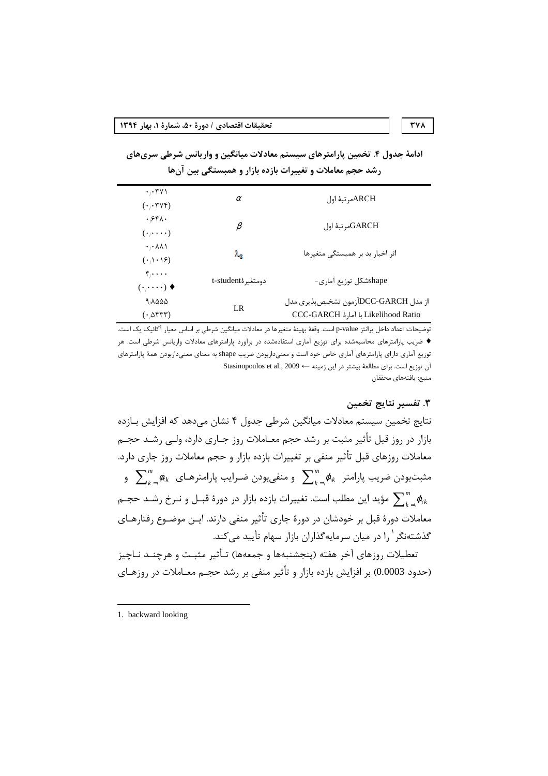ادامهٔ جدول ۴. تخمین پارامترهای سیستم معادلات میانگین و واریانس شرطی سریهای رشد حجم معاملات و تغییرات بازده بازار و همبستگی بین آنها

| $\cdot$ , $\cdot$ $\uparrow$ $\vee$ $\wedge$<br>$(\cdot, \cdot \mathsf{rV}^{\mathsf{F}})$ | $\alpha$          | ARCHمرتبهٔ اول                                                                     |
|-------------------------------------------------------------------------------------------|-------------------|------------------------------------------------------------------------------------|
| .651.<br>$(\cdot,\cdot\cdot\cdot)$                                                        | β                 | GARCHول                                                                            |
| $\cdot$ , $\wedge\wedge\wedge$<br>$(\cdot \wedge \cdot \wedge \epsilon)$                  | $\lambda_{\rm R}$ | اثر اخبار بد بر همبستگی متغیرها                                                    |
| $\mathfrak{f}_1 \cdots$<br>$(\cdot,\cdot\cdot\cdot)\bullet$                               | دومتغيرةt-student | shapeشكل توزيع آماري-                                                              |
| 9,8000<br>$(\cdot_{\beta}$ err)                                                           | LR                | از مدل DCC-GARCHآزمون تشخيصپذيري مدل<br>Likelihood Ratio با آمارة Likelihood Ratio |

توضيحات: اعداد داخل پرانتز p-value است. وقفهٔ بهينهٔ متغيرها در معادلات ميانگين شرطي بر اساس معيار آكائيک يک است. ♦ ضریب پارامترهای محاسبهشده برای توزیع آماری استفادهشده در برآورد پارامترهای معادلات واریانس شرطی است. هر توزیع آماری دارای پارامترهای آماری خاص خود است و معنیداربودن ضریب shape به معنای معنیداربودن همهٔ پارامترهای آن توزيع است. براي مطالعة بيشتر در اين زمينه ك Stasinopoulos et al., 2009 منبع: يافتههاي محققان

#### ٣. تفسير نتايج تخمين

**٣٧٨** 

نتايج تخمين سيستم معادلات ميانگين شرطي جدول ۴ نشان مي٥هد كه افزايش بـازده بازار در روز قبل تأثیر مثبت بر رشد حجم معـاملات روز جـاری دارد، ولـی رشـد حجـم معاملات روزهای قبل تأثیر منفی بر تغییرات بازده بازار و حجم معاملات روز جاری دارد. و منفیبودن میک پارامتر شدهای مشتبودن میکنامهرای بارامترهای  $\sum_{k=1}^m \phi_{\lambda k}$  و  $\sum_{k=1}^m \phi_{\lambda k}$ مؤید این مطلب است. تغییرات بازده بازار در دورهٔ قبـل و نـرخ رشــد حجـم  $\sum_{\alpha}^m \varrho_{\kappa}$ معاملات دورهٔ قبل بر خودشان در دورهٔ جاری تأثیر منفی دارند. ایــن موضــوع رفتارهــای گذشتهنگر <sup>۱</sup> را در میان سرمایهگذاران بازار سهام تأیید میکند.

تعطيلات روزهاي آخر هفته (ينجشنبهها و جمعهها) تـأثير مثبـت و هرچنــد نـاچيز (حدود 0.0003) بر افزایش بازده بازار و تأثیر منفی بر رشد حجـم معــاملات در روزهــای

<sup>1.</sup> backward looking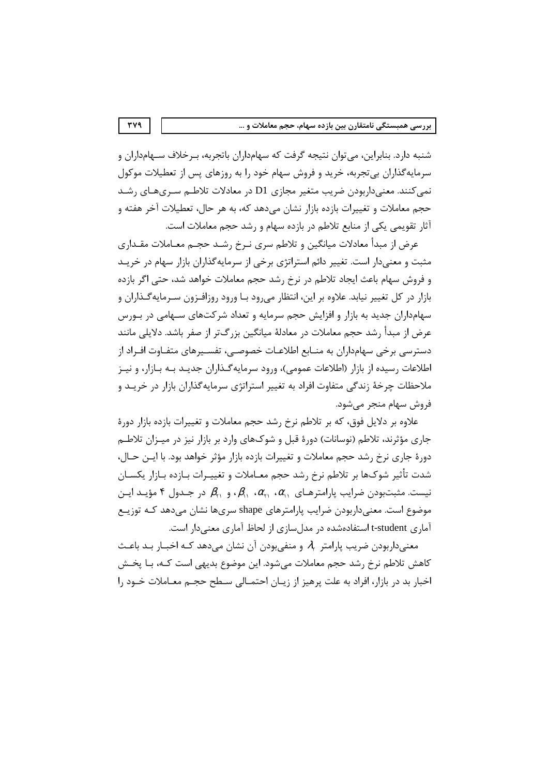شنبه دارد. بنابراین، میتوان نتیجه گرفت که سهامداران باتجربه، بـرخلاف سـهامداران و سرمایهگذاران بیتجربه، خرید و فروش سهام خود را به روزهای پس از تعطیلات موکول نمی کنند. معنیداربودن ضریب متغیر مجازی D1 در معادلات تلاطـم سـریهـای رشـد حجم معاملات و تغییرات بازده بازار نشان می۵هد که، به هر حال، تعطیلات آخر هفته و آثار تقویمی یکی از منابع تلاطم در بازده سهام و رشد حجم معاملات است.

عرض از مبدأ معادلات میانگین و تلاطم سری نـرخ رشـد حجـم معـاملات مقـداری مثبت و معنیدار است. تغییر دائم استراتژی برخی از سرمایهگذاران بازار سهام در خریـد و فروش سهام باعث ایجاد تلاطم در نرخ رشد حجم معاملات خواهد شد، حتی اگر بازده بازار در کل تغییر نیابد. علاوه بر این، انتظار میرود بـا ورود روزافـزون سـرمایهگـذاران و سهامداران جدید به بازار و افزایش حجم سرمایه و تعداد شرکتهای سـهامی در بـورس عرض از مبدأ رشد حجم معاملات در معادلهٔ میانگین بزرگتر از صفر باشد. دلایلی مانند دسترسی برخی سهامداران به منــابع اطلاعــات خصوصــی، تفســیرهای متفــاوت افــراد از اطلاعات رسیده از بازار (اطلاعات عمومی)، ورود سرمایه گـذاران جدیـد بـه بـازار، و نیـز ملاحظات چرخهٔ زندگی متفاوت افراد به تغییر استراتژی سرمایهگذاران بازار در خریـد و فروش سهام منجر می شود.

علاوه بر دلایل فوق، که بر تلاطم نرخ رشد حجم معاملات و تغییرات بازده بازار دورهٔ جاری مؤثرند، تلاطم (نوسانات) دورهٔ قبل و شوکهای وارد بر بازار نیز در میـزان تلاطـم دورهٔ جاری نرخ رشد حجم معاملات و تغییرات بازده بازار مؤثر خواهد بود. با ایــن حــال، شدت تأثير شوكـها بر تلاطم نرخ رشد حجم معــاملات و تغييــرات بــازده بــازار يكســان نيست. مثبتبودن ضرايب پارامترهـاي  $\alpha_{1}$ ،  $\alpha_{2}$ ،  $\beta_{3}$ ، و  $\beta_{4}$  در جـدول ۴ مؤيـد ايـن موضوع است. معنیداربودن ضرایب پارامترهای shape سریها نشان میدهد کـه توزیـع آماری t-student استفادهشده در مدلسازی از لحاظ آماری معنیدار است.

معنی داربودن ضریب پارامتر ۹۸ و منفی بودن آن نشان می دهد کـه اخبــار بــد باعــث كاهش تلاطم نرخ رشد حجم معاملات مىشود. اين موضوع بديهى است كـه، بـا پخـش اخبار بد در بازار، افراد به علت پرهیز از زیبان احتمـالی سـطح حجـم معـاملات خـود را

**TY9**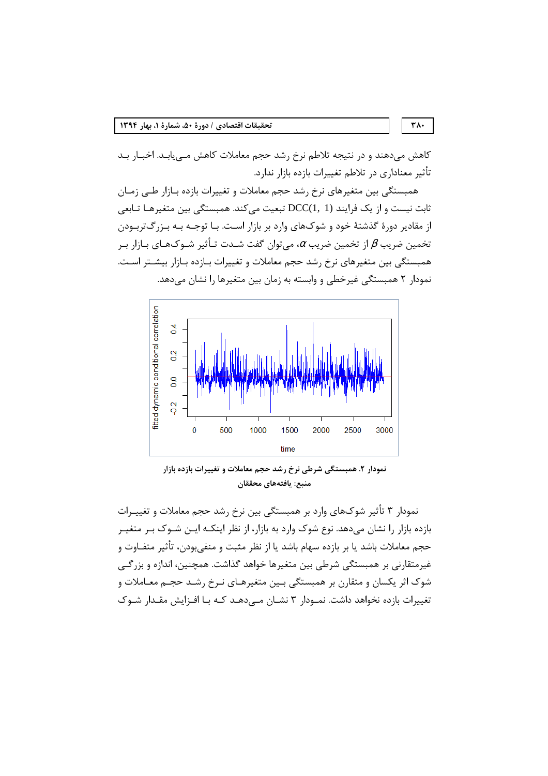کاهش میدهند و در نتیجه تلاطم نرخ رشد حجم معاملات کاهش مـییابـد. اخبـار بـد تأثیر معناداری در تلاطم تغییرات بازده بازار ندارد.

همبستگی بین متغیرهای نرخ رشد حجم معاملات و تغییرات بازده بازار طبی زمان ثابت نیست و از یک فرایند (DCC(1, 1) تبعیت می کند. همبستگی بین متغیرهـا تـابعی از مقادیر دورهٔ گذشتهٔ خود و شوکهای وارد بر بازار است. بـا توجـه بـه بـزرگتربـودن تخمین ضریب  $\beta$  از تخمین ضریب  $\alpha$ ، میتوان گفت شـدت تـأثیر شـوکـهـای بـازار بـر همبستگی بین متغیرهای نرخ رشد حجم معاملات و تغییرات بـازده بـازار بیشـتر اسـت. نمودار ۲ همبستگی غیرخطی و وابسته به زمان بین متغیرها را نشان میدهد.



نمودار ۲. همبستگی شرطی نرخ رشد حجم معاملات و تغییرات بازده بازار منبع: يافتههاي محققان

نمودار ۳ تأثیر شوکهای وارد بر همبستگی بین نرخ رشد حجم معاملات و تغییـرات بازده بازار را نشان می۵هد. نوع شوک وارد به بازار، از نظر اینکـه ایـن شـوک بـر متغیـر حجم معاملات باشد یا بر بازده سهام باشد یا از نظر مثبت و منفیبودن، تأثیر متفــاوت و غیرمتقارنی بر همبستگی شرطی بین متغیرها خواهد گذاشت. همچنین، اندازه و بزرگی شوک اثر یکسان و متقارن بر همبستگی بـین متغیرهـای نـرخ رشـد حجـم معـاملات و تغییرات بازده نخواهد داشت. نمـودار ۳ نشــان مــ ردهـد کــه بــا افــزایش مقــدار شــوک

 $\mathsf{r}\wedge\cdot$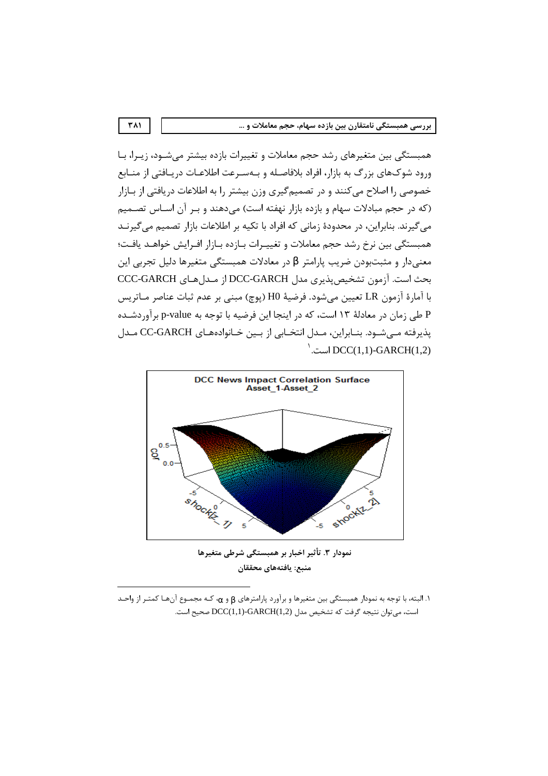همبستگی بین متغیرهای رشد حجم معاملات و تغییرات بازده بیشتر میشــود، زیــرا، بــا ورود شوكهاي بزرگ به بازار، افراد بلافاصله و بـهسـرعت اطلاعـات دريـافتي از منـابع خصوصی را اصلاح می کنند و در تصمیم گیری وزن بیشتر را به اطلاعات دریافتی از بـازار (که در حجم مبادلات سهام و بازده بازار نهفته است) می دهند و بـر آن اسـاس تصـمیم می گیرند. بنابراین، در محدودهٔ زمانی که افراد با تکیه بر اطلاعات بازار تصمیم می گیرنـد همبستگی بین نرخ رشد حجم معاملات و تغییـرات بـازده بـازار افـرایش خواهـد یافـت؛ معنیدار و مثبتبودن ضریب پارامتر  $\beta$  در معادلات همبستگی متغیرها دلیل تجربی این بحث است. آزمون تشخیص پذیری مدل DCC-GARCH از مـدلهای CCC-GARCH با آمارۂ آزمون LR تعیین می شود. فرضیهٔ H0 (یوچ) مبنی بر عدم ثبات عناصر مـاتریس P طی زمان در معادلهٔ ۱۳ است، که در اینجا این فرضیه با توجه به p-value برآوردشـده پذیرفته میشود. بنـابراین، مـدل انتخـابی از بـین خـانوادههـای CC-GARCH مـدل  $\big)$ است. DCC(1,1)-GARCH(1,2)



نمودار ٣. تأثير اخبار بر همبستگي شرطي متغيرها منبع: يافتههاي محققان

ا. البته، با توجه به نمودار همبستگی بین متغیرها و برآورد پارامترهای  $_{{\bf 6}}$  و  $_{{\bf \alpha }}$ ، کـه مجمـوع آنهـا کمتـر از واحـد است، مي توان نتيجه گرفت كه تشخيص مدل (GARCH(1,2- است.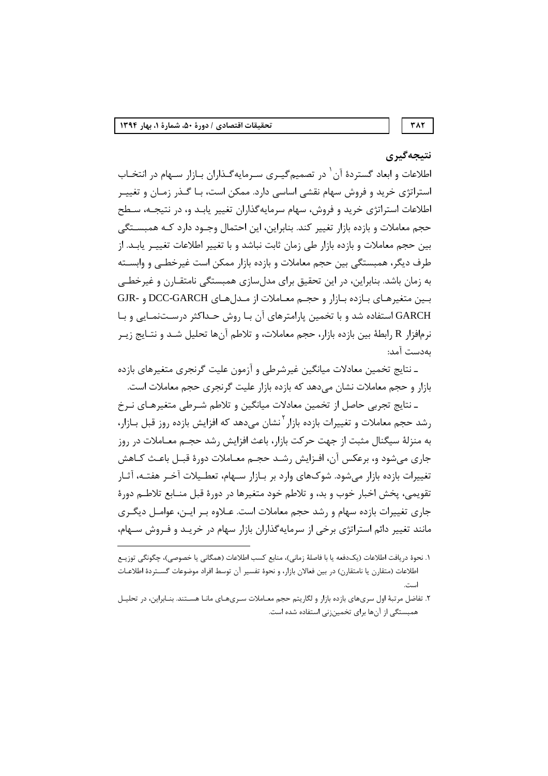# نتيجەگيرى

اطلاعات و ابعاد گستردهٔ آن ٰ در تصمیمگیـری سـرمایهگـذاران بـازار سـهام در انتخـاب استراتژی خرید و فروش سهام نقشی اساسی دارد. ممکن است، بـا گـذر زمـان و تغییـر اطلاعات استراتژی خرید و فروش، سهام سرمایهگذاران تغییر یابـد و، در نتیجـه، سـطح حجم معاملات و بازده بازار تغییر کند. بنابراین، این احتمال وجـود دارد کـه همبسـتگی بین حجم معاملات و بازده بازار طی زمان ثابت نباشد و با تغییر اطلاعات تغییـر پابـد. از طرف دیگر، همبستگی بین حجم معاملات و بازده بازار ممکن است غیرخطـی و وابسـته به زمان باشد. بنابراین، در این تحقیق برای مدل سازی همبستگی نامتقـارن و غیرخطـی بين متغيرهـاي بـازده بـازار و حجـم معـاملات از مـدلهـاي DCC-GARCH و -GJR GARCH استفاده شد و با تخمین پارامترهای آن بـا روش حـداکثر درسـتنمـایی و بـا نرمافزار R رابطهٔ بین بازده بازار، حجم معاملات، و تلاطم آنها تحلیل شـد و نتـایج زیـر ىەدست آمد:

۔ نتایج تخمین معادلات میانگین غیرشرطی و آزمون علیت گرنجری متغیرهای بازده بازار و حجم معاملات نشان می دهد که بازده بازار علیت گرنجری حجم معاملات است.

ـ نتايج تجربي حاصل از تخمين معادلات ميانگين و تلاطم شـرطي متغيرهـاي نـرخ , شد حجم معاملات و تغییرات بازده بازار <sup>۲</sup>نشان می دهد که افزایش بازده ,وز قبل بـازار، به منزلهٔ سیگنال مثبت از جهت حرکت بازار، باعث افزایش رشد حجـم معــاملات در روز جاری می شود و، برعکس آن، افـزایش رشــد حجــم معــاملات دورهٔ قبــل باعـث کــاهش تغییرات بازده بازار میشود. شوکهای وارد بر بـازار سـهام، تعطـیلات آخـر هفتـه، آثـار تقويمي، پخش اخبار خوب و بد، و تلاطم خود متغيرها در دورهٔ قبل منــابع تلاطــم دورهٔ جاری تغییرات بازده سهام و رشد حجم معاملات است. عـلاوه بـر ایـن، عوامـل دیگـری مانند تغییر دائم استراتژی برخی از سرمایهگذاران بازار سهام در خریـد و فـروش سـهام،

- ١. نحوهٔ دريافت اطلاعات (يکدفعه يا با فاصلهٔ زماني)، منابع کسب اطلاعات (همگاني يا خصوصي)، چگونگي توزيـع اطلاعات (متقارن يا نامتقارن) در بين فعالان بازار، و نحوهٔ تفسير آن توسط افراد موضوعات گسـتردهٔ اطلاعـات است
- ۲. تفاضل مرتبهٔ اول سریهای بازده بازار و لگاریتم حجم معـاملات سـریهـای مانـا هسـتند. بنـابراین، در تحلیـل همبستگی از آنها برای تخمین;نی استفاده شده است.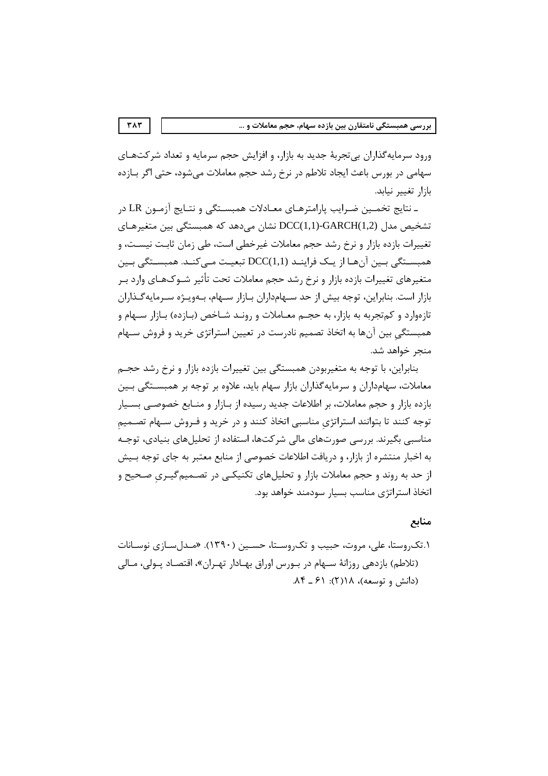ورود سرمایهگذاران بی تجربهٔ جدید به بازار، و افزایش حجم سرمایه و تعداد شرکتهـای سهامی در بورس باعث ایجاد تلاطم در نرخ رشد حجم معاملات می شود، حتی اگر بـازده بازار تغيير نيابد.

ـ نتايج تخمـين ضـرايب پارامترهـاي معـادلات همبسـتگي و نتـايج آزمـون LR در تشخیص مدل (DCC(1,1)-GARCH(1,2 نشان میدهد که همبستگی بین متغیرهـای تغییرات بازده بازار و نرخ رشد حجم معاملات غیرخطی است، طی زمان ثابت نیسـت، و همبسـتگی بـین آنهـا از یـک فراینـد (DCC(1,1 تبعیـت مـی کنـد. همبسـتگی بـین متغيرهاي تغييرات بازده بازار و نرخ رشد حجم معاملات تحت تأثير شــوکـهـاي وارد بــر بازار است. بنابراین، توجه بیش از حد سـهامداران بـازار سـهام، بـهویـژه سـرمایهگـذاران تازهوارد و کمتجربه به بازار، به حجـم معــاملات و رونــد شــاخص (بــازده) بــازار ســهام و همبستگی بین آنها به اتخاذ تصمیم نادرست در تعیین استراتژی خرید و فروش سـهام منحر خواهد شد.

بنابراین، با توجه به متغیربودن همبستگی بین تغییرات بازده بازار و نرخ رشد حجـم معاملات، سهامداران و سرمایهگذاران بازار سهام باید، علاوه بر توجه بر همبسـتگی بـین بازده بازار و حجم معاملات، بر اطلاعات جدید رسیده از بـازار و منــابع خصوصــی بســیار توجه کنند تا بتوانند استراتژی مناسبی اتخاذ کنند و در خرید و فـروش سـهام تصـمیم مناسبی بگیرند. بررسی صورتهای مالی شرکتها، استفاده از تحلیلهای بنیادی، توجـه به اخبار منتشره از بازار، و دریافت اطلاعات خصوصی از منابع معتبر به جای توجه بـیش از حد به روند و حجم معاملات بازار و تحلیلهای تکنیکـی در تصـمیم گیـری صـحیح و اتخاذ استراتژی مناسب بسیار سودمند خواهد بود.

## منابع

۱.تکروستا، علی، مروت، حبیب و تکروسـتا، حسـین (۱۳۹۰). «مـدل سـازی نوسـانات (تلاطم) بازدهی روزانهٔ سـهام در بـورس اوراق بهـادار تهـران»، اقتصـاد پـولی، مـالی (دانش و توسعه)، ١/ (٢): ٤١ ـ ٨۴.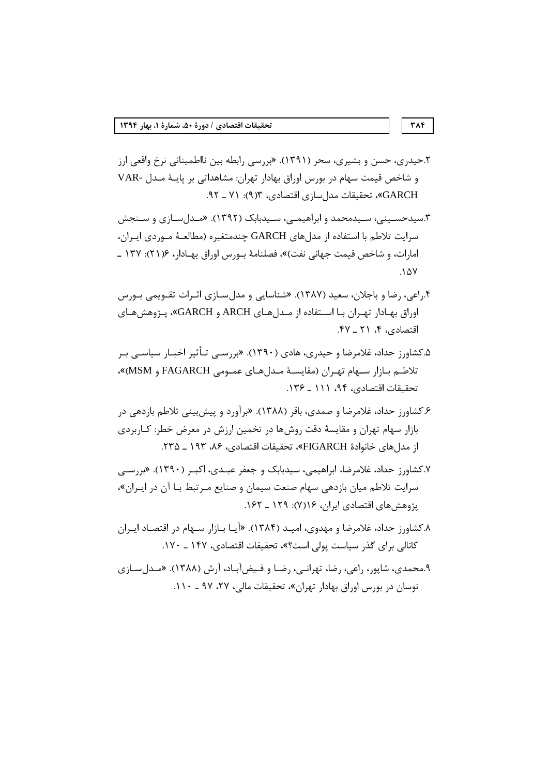- ۲.حیدری، حسن و بشیری، سحر (۱۳۹۱). «بررسی رابطه بین نااطمینانی نرخ واقعی ارز و شاخص قیمت سهام در بورس اوراق بهادار تهران: مشاهداتی بر پایـهٔ مـدل -VAR GARCH»، تحقیقات مدل سازی اقتصادی، ۱۳(۹): ۷۱ ـ ۹۲.
- ۳.سیدحسـینے، سـیدمحمد و ابراهیمـے، سـیدبابک (۱۳۹۲). «مـدل سـازی و سـنجش سرایت تلاطم با استفاده از مدلهای GARCH چندمتغیره (مطالعـهٔ مـوردی ایـران، امارات، و شاخص قيمت جهاني نفت)»، فصلنامهٔ بـورس اوراق بهـادار، ۱۳۷: ۱۳۷ ـ  $.1\Delta V$
- ۴.راعی، رضا و باجلان، سعید (۱۳۸۷). «شناسایی و مدل سـازی اثـرات تقـویمی بـورس اوراق بهادار تهران با استفاده از مدلهای ARCH و GARCH»، پژوهش های اقتصادی، ۴، ۲۱ \_ ۴۷.
- ۵.کشاورز حداد، غلامرضا و حیدری، هادی (۱۳۹۰). «بررســی تـأثیر اخبـار سیاســی بـر تلاطم بازار سهام تهران (مقايسة مدلهاى عمومى FAGARCH و MSM)». تحقيقات اقتصادي، ٩۴، ١١١ ـ ١٣۶.
- ۶.کشاورز حداد، غلامرضا و صمدی، باقر (۱۳۸۸). «برآورد و پیش بینی تلاطم بازدهی در بازار سهام تهران و مقایسهٔ دقت روشها در تخمین ارزش در معرض خطر: کـاربردی از مدل های خانوادهٔ FIGARCH»، تحقیقات اقتصادی، ۸۶، ۱۹۳ ـ ۲۳۵.
- ۷.کشاورز حداد، غلامرضا، ابراهیمی، سیدبابک و جعفر عبـدی، اکبـر (۱۳۹۰). «بررسـی سرایت تلاطم میان بازدهی سهام صنعت سیمان و صنایع مـرتبط بـا آن در ایـران»، یژوهش های اقتصادی ایران، ۱۶۴(۷): ۱۶۹ ـ ۱۶۲.
- ۸ـ کشاورز حداد، غلامرضا و مهدوی، امیـد (۱۳۸۴). «آیـا بـازار سـهام در اقتصـاد ایـران کانالی برای گذر سیاست پولی است؟»، تحقیقات اقتصادی، ۱۴۷ ـ ۱۷۰.
- ۹.محمدي، شاپور، راعي، رضا، تهرانـي، رضـا و فـيضآبـاد، آرش (۱۳۸۸). «مـدلسـازي نوسان در بورس اوراق بهادار تهران»، تحقیقات مالی، ۲۷، ۹۷ ـ ۱۱۰.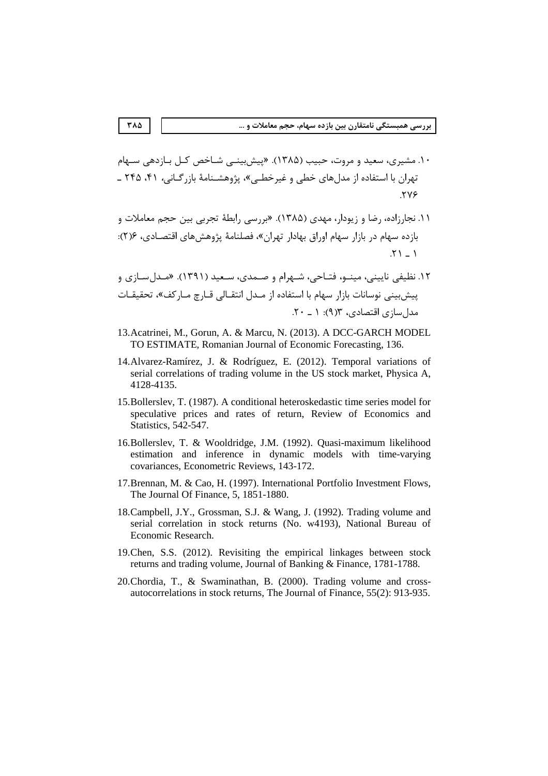۱۰. مشیری، سعید و مروت، حبیب (۱۳۸۵). «پیش بینبی شـاخص کـل بـازدهی سـهام تهران با استفاده از مدلهای خطی و غیرخطـی»، پژوهشـنامهٔ بازرگـانی، ۴۱، ۲۴۵ ـ **TVE** 

- ۱۱. نجارزاده، رضا و زیودار، مهدی (۱۳۸۵). «بررسی رابطهٔ تجربی بین حجم معاملات و بازده سهام در بازار سهام اوراق بهادار تهران»، فصلنامهٔ پژوهشهای اقتصـادی، ۲۶):  $.51 - 1$
- ۱۲. نظیفی نایینی، مینـو، فتـاحی، شـهرام و صـمدی، سـعید (۱۳۹۱). «مـدل سـازی و پیشبینی نوسانات بازار سهام با استفاده از مـدل انتقـالی قـارچ مـاركف»، تحقیقـات مدل سازی اقتصادی، ۶(۹): ۱ ـ ۲۰.
- 13. Acatrinei, M., Gorun, A. & Marcu, N. (2013). A DCC-GARCH MODEL TO ESTIMATE, Romanian Journal of Economic Forecasting, 136.
- 14. Alvarez-Ramírez, J. & Rodríguez, E. (2012). Temporal variations of serial correlations of trading volume in the US stock market, Physica A, 4128-4135.
- 15. Bollerslev, T. (1987). A conditional heteroskedastic time series model for speculative prices and rates of return, Review of Economics and Statistics, 542-547.
- 16. Bollerslev, T. & Wooldridge, J.M. (1992). Quasi-maximum likelihood estimation and inference in dynamic models with time-varying covariances, Econometric Reviews, 143-172.
- 17. Brennan, M. & Cao, H. (1997). International Portfolio Investment Flows, The Journal Of Finance, 5, 1851-1880.
- 18. Campbell, J.Y., Grossman, S.J. & Wang, J. (1992). Trading volume and serial correlation in stock returns (No. w4193), National Bureau of Economic Research.
- 19. Chen, S.S. (2012). Revisiting the empirical linkages between stock returns and trading volume, Journal of Banking & Finance, 1781-1788.
- 20. Chordia, T., & Swaminathan, B. (2000). Trading volume and crossautocorrelations in stock returns, The Journal of Finance, 55(2): 913-935.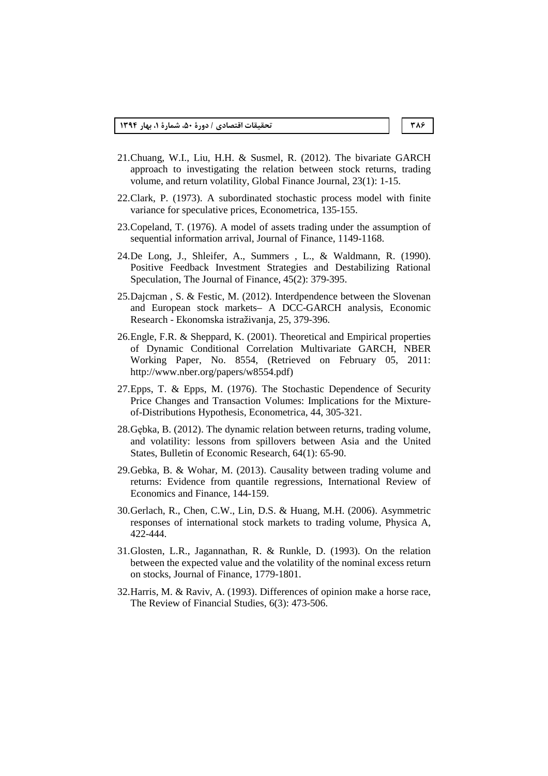- 21.Chuang, W.I., Liu, H.H. & Susmel, R. (2012). The bivariate GARCH approach to investigating the relation between stock returns, trading volume, and return volatility, Global Finance Journal, 23(1): 1-15.
- 22.Clark, P. (1973). A subordinated stochastic process model with finite variance for speculative prices, Econometrica, 135-155.
- 23.Copeland, T. (1976). A model of assets trading under the assumption of sequential information arrival, Journal of Finance, 1149-1168.
- 24.De Long, J., Shleifer, A., Summers , L., & Waldmann, R. (1990). Positive Feedback Investment Strategies and Destabilizing Rational Speculation, The Journal of Finance, 45(2): 379-395.
- 25.Dajcman , S. & Festic, M. (2012). Interdpendence between the Slovenan and European stock markets– A DCC-GARCH analysis, Economic Research - Ekonomska istraživanja, 25, 379-396.
- 26.Engle, F.R. & Sheppard, K. (2001). Theoretical and Empirical properties of Dynamic Conditional Correlation Multivariate GARCH, NBER Working Paper, No. 8554, (Retrieved on February 05, 2011: http://www.nber.org/papers/w8554.pdf)
- 27.Epps, T. & Epps, M. (1976). The Stochastic Dependence of Security Price Changes and Transaction Volumes: Implications for the Mixtureof-Distributions Hypothesis, Econometrica, 44, 305-321.
- 28.Gębka, B. (2012). The dynamic relation between returns, trading volume, and volatility: lessons from spillovers between Asia and the United States, Bulletin of Economic Research, 64(1): 65-90.
- 29.Gebka, B. & Wohar, M. (2013). Causality between trading volume and returns: Evidence from quantile regressions, International Review of Economics and Finance, 144-159.
- 30.Gerlach, R., Chen, C.W., Lin, D.S. & Huang, M.H. (2006). Asymmetric responses of international stock markets to trading volume, Physica A, 422-444.
- 31.Glosten, L.R., Jagannathan, R. & Runkle, D. (1993). On the relation between the expected value and the volatility of the nominal excess return on stocks, Journal of Finance, 1779-1801.
- 32.Harris, M. & Raviv, A. (1993). Differences of opinion make a horse race, The Review of Financial Studies, 6(3): 473-506.